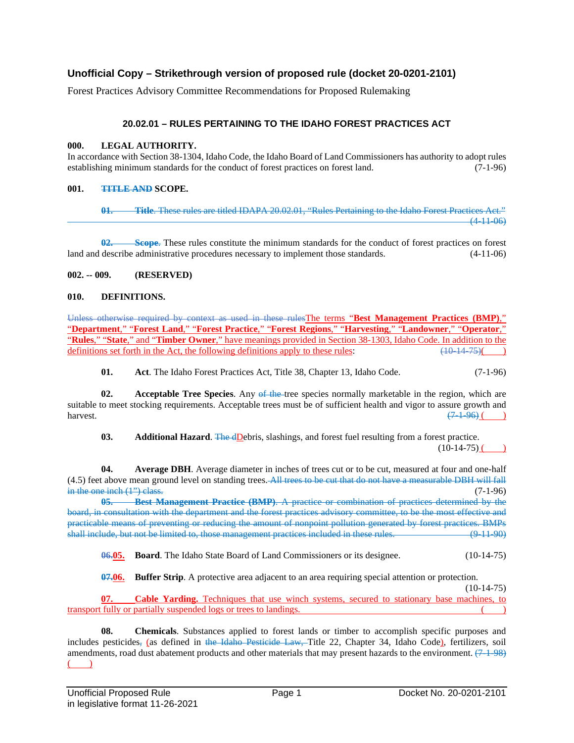# **Unofficial Copy – Strikethrough version of proposed rule (docket 20-0201-2101)**

Forest Practices Advisory Committee Recommendations for Proposed Rulemaking

# **20.02.01 – RULES PERTAINING TO THE IDAHO FOREST PRACTICES ACT**

#### **000. LEGAL AUTHORITY.**

In accordance with Section 38-1304, Idaho Code, the Idaho Board of Land Commissioners has authority to adopt rules establishing minimum standards for the conduct of forest practices on forest land. (7-1-96)

#### **001. TITLE AND SCOPE.**

**01. Title**. These rules are titled IDAPA 20.02.01, "Rules Pertaining to the Idaho Forest Practices Act."  $(4-11-06)$ 

**02. Scope**. These rules constitute the minimum standards for the conduct of forest practices on forest land and describe administrative procedures necessary to implement those standards. (4-11-06)

#### **002. -- 009. (RESERVED)**

#### **010. DEFINITIONS.**

Unless otherwise required by context as used in these rulesThe terms "**Best Management Practices (BMP)**," "**Department**," "**Forest Land**," "**Forest Practice**," "**Forest Regions**," "**Harvesting**," "**Landowner**," "**Operator**," "**Rules**," "**State**," and "**Timber Owner**," have meanings provided in Section 38-1303, Idaho Code. In addition to the definitions set forth in the Act, the following definitions apply to these rules:  $\frac{(10-14-75)}{(10-14-75$ definitions set forth in the Act, the following definitions apply to these rules:

**01. Act**. The Idaho Forest Practices Act, Title 38, Chapter 13, Idaho Code. (7-1-96)

**02.** Acceptable Tree Species. Any of the tree species normally marketable in the region, which are suitable to meet stocking requirements. Acceptable trees must be of sufficient health and vigor to assure growth and harvest.  $\left(7\ 1\ 96\right)$  ( $\left(7\ 1\ 96\right)$  )

**03. Additional Hazard**. The dDebris, slashings, and forest fuel resulting from a forest practice.  $(10-14-75)$  ( )

**04. Average DBH**. Average diameter in inches of trees cut or to be cut, measured at four and one-half (4.5) feet above mean ground level on standing trees. All trees to be cut that do not have a measurable DBH will fall in the one inch  $(1^{\prime\prime})$  class. (7-1-96)

**05. Best Management Practice (BMP)**. A practice or combination of practices determined by the board, in consultation with the department and the forest practices advisory committee, to be the most effective and practicable means of preventing or reducing the amount of nonpoint pollution generated by forest practices. BMPs shall include, but not be limited to, those management practices included in these rules. (9-11-90)

**06.05. Board**. The Idaho State Board of Land Commissioners or its designee. (10-14-75)

**07.06. Buffer Strip**. A protective area adjacent to an area requiring special attention or protection.

 $(10-14-75)$ 

**07. Cable Yarding.** Techniques that use winch systems, secured to stationary base machines, to transport fully or partially suspended logs or trees to landings. ( )

**08. Chemicals**. Substances applied to forest lands or timber to accomplish specific purposes and includes pesticides, (as defined in the Idaho Pesticide Law, Title 22, Chapter 34, Idaho Code), fertilizers, soil amendments, road dust abatement products and other materials that may present hazards to the environment.  $(7-1-98)$  $\rightarrow$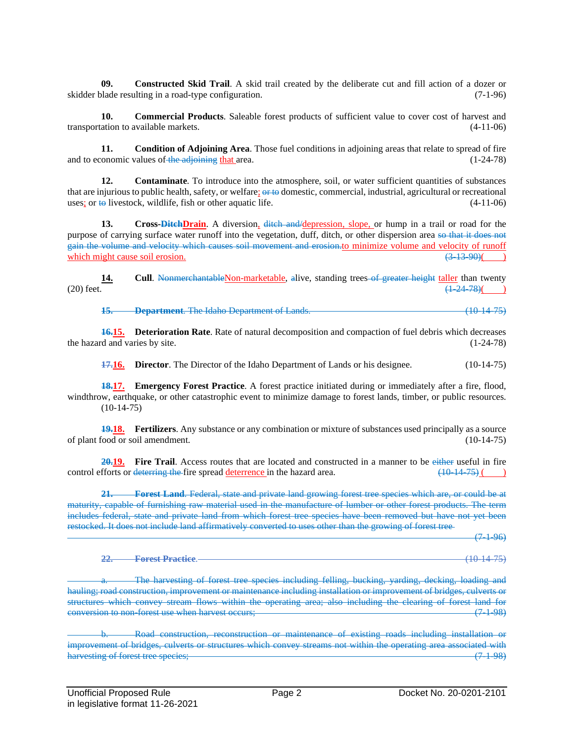**09. Constructed Skid Trail**. A skid trail created by the deliberate cut and fill action of a dozer or skidder blade resulting in a road-type configuration. (7-1-96)

**10. Commercial Products**. Saleable forest products of sufficient value to cover cost of harvest and transportation to available markets. (4-11-06)

**11. Condition of Adjoining Area**. Those fuel conditions in adjoining areas that relate to spread of fire onomic values of the adjoining that area. and to economic values of the adjoining that area.

12. **Contaminate**. To introduce into the atmosphere, soil, or water sufficient quantities of substances that are injurious to public health, safety, or welfare; or to domestic, commercial, industrial, agricultural or recreational uses; or to livestock, wildlife, fish or other aquatic life.  $(4-11-06)$ uses; or  $\leftrightarrow$  livestock, wildlife, fish or other aquatic life.

**13. Cross-DitchDrain**. A diversion, ditch and/depression, slope, or hump in a trail or road for the purpose of carrying surface water runoff into the vegetation, duff, ditch, or other dispersion area so that it does not gain the volume and velocity which causes soil movement and erosion.to minimize volume and velocity of runoff which might cause soil erosion.  $(3-13-90)$  (

**14. Cull**. Nonmerchantable Non-marketable, alive, standing trees of greater height taller than twenty (20) feet.  $\frac{124.78}{1.24.78}$ (20) feet.  $\frac{(1-24-78)()}{20}$ 

**15. Department**. The Idaho Department of Lands. (10-14-75)

**16.15. Deterioration Rate**. Rate of natural decomposition and compaction of fuel debris which decreases the hazard and varies by site. (1-24-78)

**17.16. Director.** The Director of the Idaho Department of Lands or his designee. (10-14-75)

**18.17. Emergency Forest Practice**. A forest practice initiated during or immediately after a fire, flood, windthrow, earthquake, or other catastrophic event to minimize damage to forest lands, timber, or public resources.  $(10-14-75)$ 

**19.18. Fertilizers**. Any substance or any combination or mixture of substances used principally as a source of plant food or soil amendment. (10-14-75)

**20.19. Fire Trail**. Access routes that are located and constructed in a manner to be either useful in fire control efforts or deterring the fire spread deterrence in the hazard area.  $(10-14-75)$  ()

**21. Forest Land**. Federal, state and private land growing forest tree species which are, or could be at maturity, capable of furnishing raw material used in the manufacture of lumber or other forest products. The term includes federal, state and private land from which forest tree species have been removed but have not yet been restocked. It does not include land affirmatively converted to uses other than the growing of forest tree

 $(7-1-96)$ 

**22. Forest Practice**. (10-14-75)

The harvesting of forest tree species including felling, bucking, yarding, decking, loading and hauling; road construction, improvement or maintenance including installation or improvement of bridges, culverts or structures which convey stream flows within the operating area; also including the clearing of forest land for conversion to non-forest use when harvest occurs; (7-1-98)

Road construction, reconstruction or maintenance of existing roads including installation or improvement of bridges, culverts or structures which convey streams not within the operating area associated with harvesting of forest tree species: (7.1.98) harvesting of forest tree species;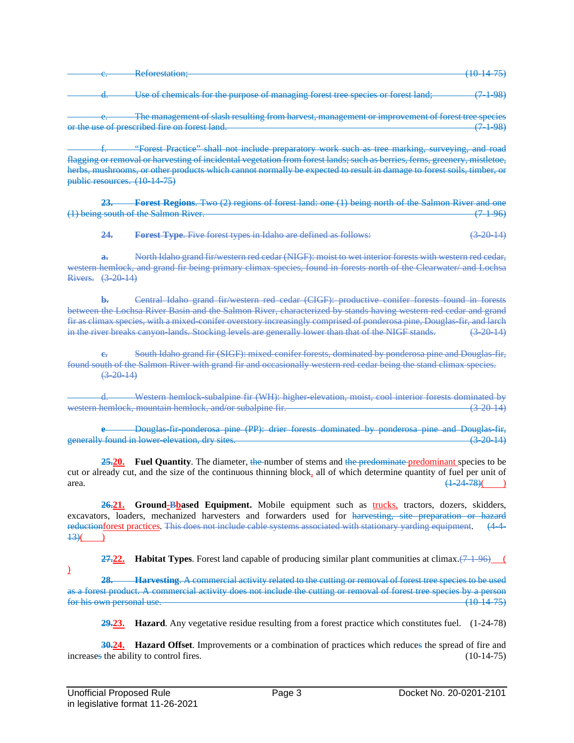|    | $\mathbf{p}_{\mathbf{a}}$ forestation:    |  |
|----|-------------------------------------------|--|
| J. | <b>Refugeement</b><br>___________________ |  |
|    |                                           |  |
|    |                                           |  |

Use of chemicals for the purpose of managing forest tree species or forest land; (7-1-98)

The management of slash resulting from harvest, management or improvement of forest tree species or the use of prescribed fire on forest land. (7-1-98)

f. "Forest Practice" shall not include preparatory work such as tree marking, surveying, and road flagging or removal or harvesting of incidental vegetation from forest lands; such as berries, ferns, greenery, mistletoe, herbs, mushrooms, or other products which cannot normally be expected to result in damage to forest soils, timber, or public resources. (10-14-75)

**23. Forest Regions**. Two (2) regions of forest land: one (1) being north of the Salmon River and one (1) being south of the Salmon River. (7.1.96)

**24. Forest Type**. Five forest types in Idaho are defined as follows: (3-20-14)

**a.** North Idaho grand fir/western red cedar (NIGF): moist to wet interior forests with western red cedar, western hemlock, and grand fir being primary climax species, found in forests north of the Clearwater/ and Lochsa Rivers. (3-20-14)

**b.** Central Idaho grand fir/western red cedar (CIGF): productive conifer forests found in forests between the Lochsa River Basin and the Salmon River, characterized by stands having western red cedar and grand fir as climax species, with a mixed-conifer overstory increasingly comprised of ponderosa pine, Douglas-fir, and larch in the river breaks canyon-lands. Stocking levels are generally lower than that of the NIGF stands. (3-20-14)

South Idaho grand fir (SIGF): mixed-conifer forests, dominated by ponderosa pine and Douglas-fir, found south of the Salmon River with grand fir and occasionally western red cedar being the stand climax species.  $(3-20-14)$ 

Western hemlock-subalpine fir (WH): higher-elevation, moist, cool interior forests dominated by<br>k. mountain hemlock, and/or subalpine fir.<br>(3-20-14) western hemlock, mountain hemlock, and/or subalpine fir.

**e** Douglas-fir-ponderosa pine (PP): drier forests dominated by ponderosa pine and Douglas-fir, generally found in lower-elevation, dry sites. (3-20-14)

25.20. **Fuel Quantity**. The diameter, the number of stems and the predominate predominant species to be cut or already cut, and the size of the continuous thinning block, all of which determine quantity of fuel per unit of area.  $\frac{(1-24-78)()}{24-78}$ 

26.21. **Ground-Bbased Equipment.** Mobile equipment such as trucks, tractors, dozers, skidders, excavators, loaders, mechanized harvesters and forwarders used for harvesting, site preparation or hazard reductionforest practices. This does not include cable systems associated with stationary yarding equipment. (4-4- $\frac{13}{2}$ ( )

**27.22. Habitat Types**. Forest land capable of producing similar plant communities at climax. $(7\frac{1}{2}\cdot96)$  (

**28. Harvesting**. A commercial activity related to the cutting or removal of forest tree species to be used as a forest product. A commercial activity does not include the cutting or removal of forest tree species by a person for his own personal use. (10-14-75)

**29.23. Hazard**. Any vegetative residue resulting from a forest practice which constitutes fuel. (1-24-78)

**30.24. Hazard Offset**. Improvements or a combination of practices which reduces the spread of fire and  $\frac{10-14-75}{20}$ increases the ability to control fires.

 $\mathcal{L}$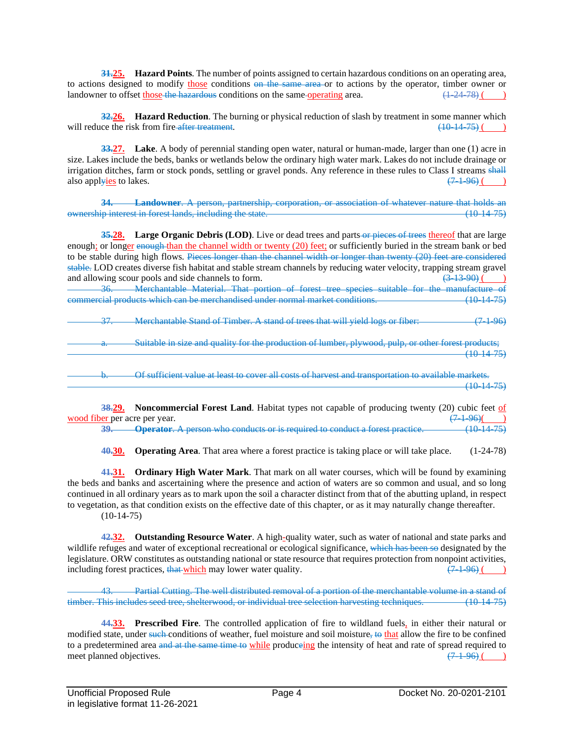**31.25. Hazard Points**. The number of points assigned to certain hazardous conditions on an operating area, to actions designed to modify those conditions on the same area or to actions by the operator, timber owner or landowner to offset those the hazardous conditions on the same-operating area.  $\left(1\right.24\right.78)$  (e) landowner to offset those the hazardous conditions on the same-operating area.

**32.26. Hazard Reduction**. The burning or physical reduction of slash by treatment in some manner which will reduce the risk from fire-after treatment.  $(10-14-75)$  ()

**33.27. Lake**. A body of perennial standing open water, natural or human-made, larger than one (1) acre in size. Lakes include the beds, banks or wetlands below the ordinary high water mark. Lakes do not include drainage or irrigation ditches, farm or stock ponds, settling or gravel ponds. Any reference in these rules to Class I streams shall also applyies to lakes.  $(7-1-96)$  ( )

**34. Landowner**. A person, partnership, corporation, or association of whatever nature that holds an ownership interest in forest lands, including the state. (10-14-75)

**35.28. Large Organic Debris (LOD)**. Live or dead trees and parts or pieces of trees thereof that are large enough; or longer enough than the channel width or twenty (20) feet; or sufficiently buried in the stream bank or bed to be stable during high flows. Pieces longer than the channel width or longer than twenty (20) feet are considered stable. LOD creates diverse fish habitat and stable stream channels by reducing water velocity, trapping stream gravel and allowing scour pools and side channels to form.  $(3.13.90)$  ( $(3.13.90)$ ) and allowing scour pools and side channels to form.

36. Merchantable Material. That portion of forest tree species suitable for the manufacture of commercial products which can be merchandised under normal market conditions.

37. Merchantable Stand of Timber. A stand of trees that will yield logs or fiber: (7-1-96)

Suitable in size and quality for the production of lumber, plywood, pulp, or other forest products;  $(10.14-75)$ 

Of sufficient value at least to cover all costs of harvest and transportation to available markets.  $(10-14-75)$ 

**38.29. Noncommercial Forest Land**. Habitat types not capable of producing twenty (20) cubic feet of per per acre per vear.  $(7.1.96)$  (20)  $\frac{\text{wood fiber}}{39}$  per acre per year.  $\frac{(7.1-96)}{(1.1-7.5)}$ **39. Operator**. A person who conducts or is required to conduct a forest practice.

**40.30. Operating Area**. That area where a forest practice is taking place or will take place. (1-24-78)

**41.31. Ordinary High Water Mark**. That mark on all water courses, which will be found by examining the beds and banks and ascertaining where the presence and action of waters are so common and usual, and so long continued in all ordinary years as to mark upon the soil a character distinct from that of the abutting upland, in respect to vegetation, as that condition exists on the effective date of this chapter, or as it may naturally change thereafter.  $(10-14-75)$ 

**42.32. Outstanding Resource Water**. A high-quality water, such as water of national and state parks and wildlife refuges and water of exceptional recreational or ecological significance, which has been so designated by the legislature. ORW constitutes as outstanding national or state resource that requires protection from nonpoint activities, including forest practices, that which may lower water quality.  $(7-1-96)$  ()

43. Partial Cutting. The well distributed removal of a portion of the merchantable volume in a stand of timber. This includes seed tree, shelterwood, or individual tree selection harvesting techniques. (10-14-75)

**44.33. Prescribed Fire**. The controlled application of fire to wildland fuels, in either their natural or modified state, under such conditions of weather, fuel moisture and soil moisture, to that allow the fire to be confined to a predetermined area and at the same time to while produceing the intensity of heat and rate of spread required to meet planned objectives.  $(7.196)$  ( $(7.196)$ ) meet planned objectives.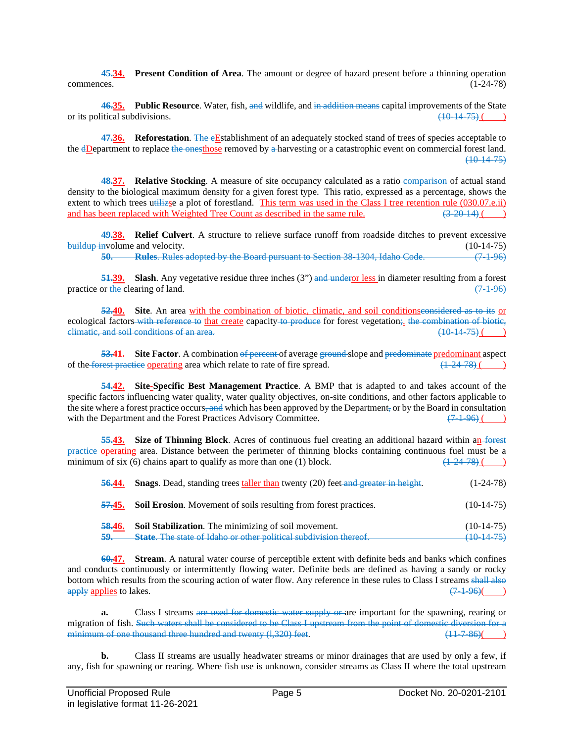**45.34. Present Condition of Area**. The amount or degree of hazard present before a thinning operation commences. (1-24-78)

**46.35. Public Resource**. Water, fish, and wildlife, and in addition means capital improvements of the State or its political subdivisions.  $\left(10-14-75\right)$  (a)

47.36. **Reforestation**. The eEstablishment of an adequately stocked stand of trees of species acceptable to the dDepartment to replace the onesthose removed by a harvesting or a catastrophic event on commercial forest land. (10-14-75)

**48.37. Relative Stocking**. A measure of site occupancy calculated as a ratio-comparison of actual stand density to the biological maximum density for a given forest type. This ratio, expressed as a percentage, shows the extent to which trees utilize a plot of forestland. This term was used in the Class I tree retention rule (030.07.e.ii) and has been replaced with Weighted Tree Count as described in the same rule.  $(3\,20\,14)$  ( $(3\,20\$ and has been replaced with Weighted Tree Count as described in the same rule.

**49.38. Relief Culvert**. A structure to relieve surface runoff from roadside ditches to prevent excessive buildup involume and velocity. (10-14-75)

**50. Rules**. Rules adopted by the Board pursuant to Section 38-1304, Idaho Code. (7-1-96)

**51.39.** Slash. Any vegetative residue three inches (3") and under or less in diameter resulting from a forest practice or the clearing of land.  $(7\ 1\ 96)$ 

**52.40. Site**. An area with the combination of biotic, climatic, and soil conditionsconsidered as to its or ecological factors with reference to that create capacity to produce for forest vegetation; the combination of biotic, elimatic, and soil conditions of an area. climatic, and soil conditions of an area.

**53.41.** Site Factor. A combination of percent of average ground slope and predominate predominant aspect rest precise operating area which relate to rate of fire spread. (4.24.78) (4.24.78) of the forest practice operating area which relate to rate of fire spread.

**54.42. Site-Specific Best Management Practice**. A BMP that is adapted to and takes account of the specific factors influencing water quality, water quality objectives, on-site conditions, and other factors applicable to the site where a forest practice occurs, and which has been approved by the Department, or by the Board in consultation with the Department and the Forest Practices Advisory Committee.  $(7.1-96)$  ()

**55.43. Size of Thinning Block**. Acres of continuous fuel creating an additional hazard within an forest practice operating area. Distance between the perimeter of thinning blocks containing continuous fuel must be a minimum of six (6) chains apart to qualify as more than one (1) block. minimum of six  $(6)$  chains apart to qualify as more than one  $(1)$  block.

| 56.44.        | <b>Snags.</b> Dead, standing trees taller than twenty (20) feet and greater in height. | $(1-24-78)$           |
|---------------|----------------------------------------------------------------------------------------|-----------------------|
|               | <b>57.45.</b> Soil Erosion. Movement of soils resulting from forest practices.         | $(10-14-75)$          |
| <b>58.46.</b> | <b>Soil Stabilization.</b> The minimizing of soil movement.                            | $(10-14-75)$          |
| $59-$         | State. The state of Idaho or other political subdivision thereof.                      | <del>(10-14-75)</del> |

**60.47. Stream**. A natural water course of perceptible extent with definite beds and banks which confines and conducts continuously or intermittently flowing water. Definite beds are defined as having a sandy or rocky bottom which results from the scouring action of water flow. Any reference in these rules to Class I streams shall also apply applies to lakes. apply applies to lakes.

**a.** Class I streams are used for domestic water supply or are important for the spawning, rearing or migration of fish. Such waters shall be considered to be Class I upstream from the point of domestic diversion for a<br>minimum of one thousand three hundred and twenty (1.320) feet. (1.329) for a state of the state of the st minimum of one thousand three hundred and twenty  $(1,320)$  feet.

**b.** Class II streams are usually headwater streams or minor drainages that are used by only a few, if any, fish for spawning or rearing. Where fish use is unknown, consider streams as Class II where the total upstream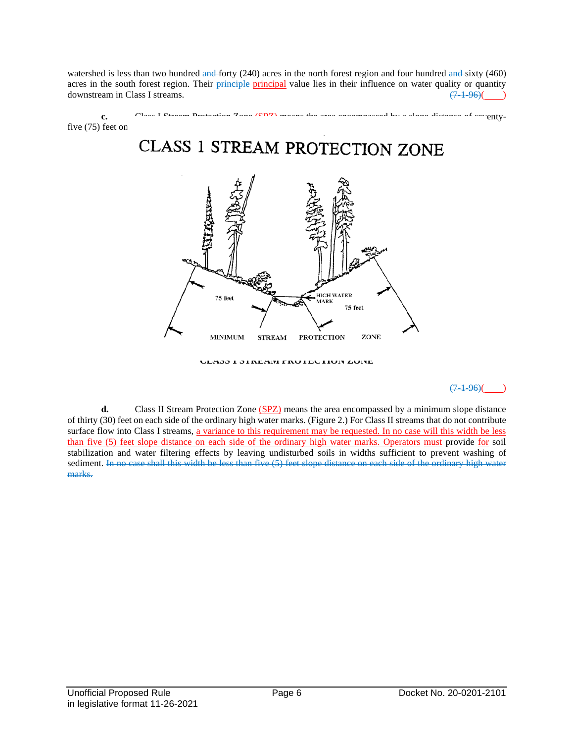watershed is less than two hundred and forty (240) acres in the north forest region and four hundred and sixty (460) acres in the south forest region. Their principle principal value lies in their influence on water quality or quantity downstream in Class I streams.  $(7.1-96)$  (and  $(7.1-96)$ )





**CLASS 1 STREAM PROTECTION ZONE**

 $(7, 1, 96)$ 

**d.** Class II Stream Protection Zone (SPZ) means the area encompassed by a minimum slope distance of thirty (30) feet on each side of the ordinary high water marks. (Figure 2.) For Class II streams that do not contribute surface flow into Class I streams, a variance to this requirement may be requested. In no case will this width be less than five (5) feet slope distance on each side of the ordinary high water marks. Operators must provide for soil stabilization and water filtering effects by leaving undisturbed soils in widths sufficient to prevent washing of sediment. In no case shall this width be less than five (5) feet slope distance on each side of the ordinary high water marks.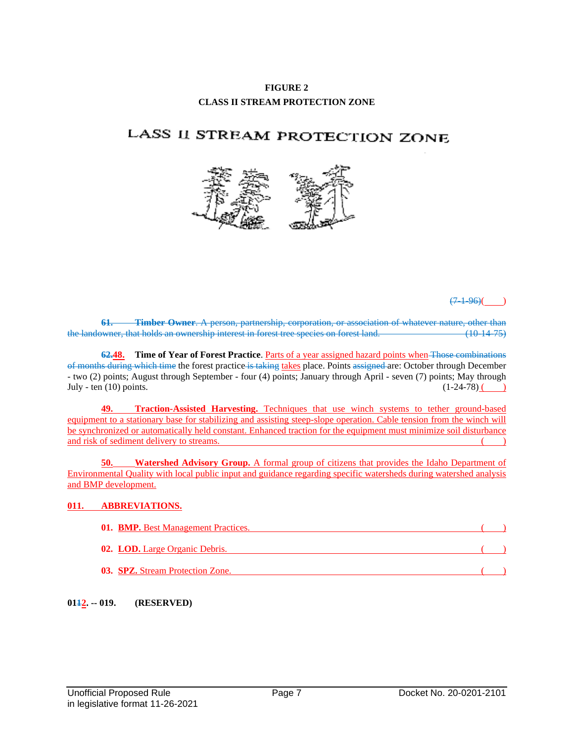# **FIGURE 2 CLASS II STREAM PROTECTION ZONE**

# LASS II STREAM PROTECTION ZONE



 $(7-1-96)$ ( )

**61. Timber Owner**. A person, partnership, corporation, or association of whatever nature, other than the landowner, that holds an ownership interest in forest tree species on forest land. (10-14-75)

**62.48. Time of Year of Forest Practice**. Parts of a year assigned hazard points when Those combinations of months during which time the forest practice is taking takes place. Points assigned are: October through December - two (2) points; August through September - four (4) points; January through April - seven (7) points; May through July - ten (10) points.  $(1-24-78)$  (

**49. Traction-Assisted Harvesting.** Techniques that use winch systems to tether ground-based equipment to a stationary base for stabilizing and assisting steep-slope operation. Cable tension from the winch will be synchronized or automatically held constant. Enhanced traction for the equipment must minimize soil disturbance and risk of sediment delivery to streams.  $($ )

**50. Watershed Advisory Group.** A formal group of citizens that provides the Idaho Department of Environmental Quality with local public input and guidance regarding specific watersheds during watershed analysis and BMP development.

# **011. ABBREVIATIONS.**

| <b>01. BMP.</b> Best Management Practices. |  |
|--------------------------------------------|--|
| <b>02. LOD.</b> Large Organic Debris.      |  |
| <b>03. SPZ.</b> Stream Protection Zone.    |  |

### **0112. -- 019. (RESERVED)**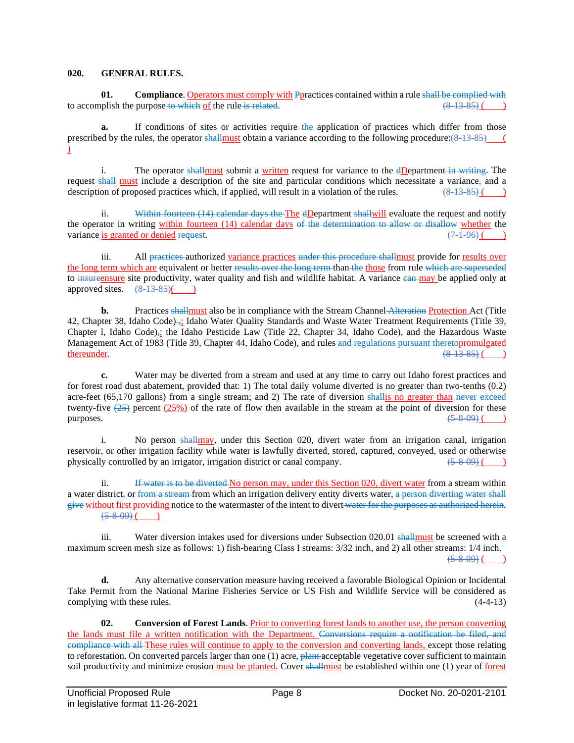#### **020. GENERAL RULES.**

**01. Compliance**. Operators must comply with Ppractices contained within a rule shall be complied with polish the purpose to which of the rule is related. to accomplish the purpose-to which of the rule is related.

**a.** If conditions of sites or activities require the application of practices which differ from those prescribed by the rules, the operator shall must obtain a variance according to the following procedure: $(8-13-85)$  (  $\mathcal{L}$ 

i. The operator shall must submit a written request for variance to the dDepartment in writing. The request shall must include a description of the site and particular conditions which necessitate a variance, and a description of proposed practices which, if applied, will result in a violation of the rules.  $(8-13-85)$  ()

ii. Within fourteen (14) calendar days the The dDepartment shallwill evaluate the request and notify the operator in writing within fourteen (14) calendar days of the determination to allow or disallow whether the variance is granted or denied request.  $(7.1-96)$  (and  $(7.1-96)$ )

iii. All practices authorized variance practices under this procedure shallmust provide for results over the long term which are equivalent or better results over the long term than the those from rule which are superseded to insurent sure site productivity, water quality and fish and wildlife habitat. A variance can may be applied only at approved sites.  $(\frac{8}{13} \cdot \frac{35}{1})$ approved sites.  $\left(8\frac{13\,85}{6}\right)$  (

**b.** Practices shallmust also be in compliance with the Stream Channel Alteration Protection Act (Title 42, Chapter 38, Idaho Code) ,; Idaho Water Quality Standards and Waste Water Treatment Requirements (Title 39, Chapter l, Idaho Code),; the Idaho Pesticide Law (Title 22, Chapter 34, Idaho Code), and the Hazardous Waste Management Act of 1983 (Title 39, Chapter 44, Idaho Code), and rules and regulations pursuant theretopromulgated thereunder.  $\frac{(8.13-85)}{6.8.13-8.5}$  (b)

**c.** Water may be diverted from a stream and used at any time to carry out Idaho forest practices and for forest road dust abatement, provided that: 1) The total daily volume diverted is no greater than two-tenths (0.2) acre-feet (65,170 gallons) from a single stream; and 2) The rate of diversion shallis no greater than never exceed twenty-five  $(25)$  percent  $(25%)$  of the rate of flow then available in the stream at the point of diversion for these purposes.  $(5-8-09)$  ( )

i. No person shallmay, under this Section 020, divert water from an irrigation canal, irrigation reservoir, or other irrigation facility while water is lawfully diverted, stored, captured, conveyed, used or otherwise<br>physically controlled by an irrigator, irrigation district or canal company. physically controlled by an irrigator, irrigation district or canal company.

ii. If water is to be diverted No person may, under this Section 020, divert water from a stream within a water district, or from a stream from which an irrigation delivery entity diverts water, a person diverting water shall give without first providing notice to the watermaster of the intent to divert water for the purposes as authorized herein.  $(5-8-09)$  ( )

iii. Water diversion intakes used for diversions under Subsection 020.01 shallmust be screened with a maximum screen mesh size as follows: 1) fish-bearing Class I streams: 3/32 inch, and 2) all other streams: 1/4 inch.  $(5-8-09)$  ( )

**d.** Any alternative conservation measure having received a favorable Biological Opinion or Incidental Take Permit from the National Marine Fisheries Service or US Fish and Wildlife Service will be considered as complying with these rules. (4-4-13)

**02. Conversion of Forest Lands**. Prior to converting forest lands to another use, the person converting the lands must file a written notification with the Department. Conversions require a notification be filed, and compliance with all These rules will continue to apply to the conversion and converting lands, except those relating to reforestation. On converted parcels larger than one (1) acre, plant acceptable vegetative cover sufficient to maintain soil productivity and minimize erosion must be planted. Cover shallmust be established within one (1) year of forest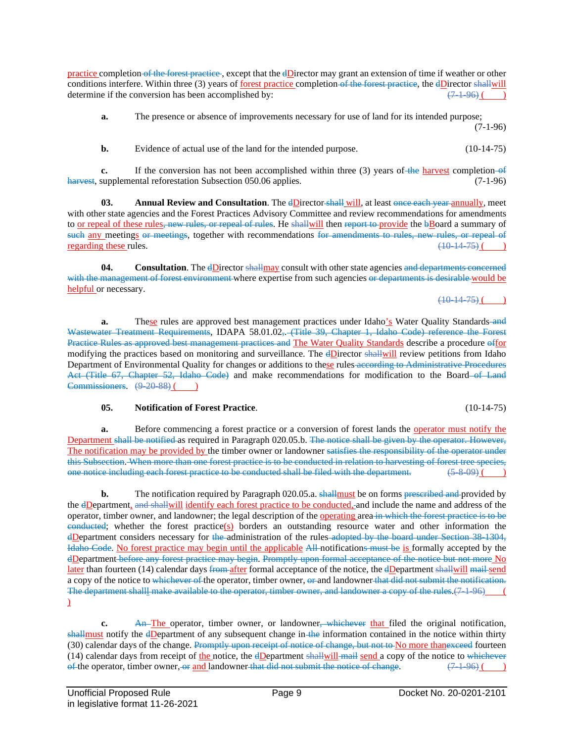practice completion of the forest practice , except that the dDirector may grant an extension of time if weather or other conditions interfere. Within three (3) years of <u>forest practice</u> completion of the forest practice, the  $dD$  inector shall will determine if the conversion has been accomplished by:  $(7\pm 96)$  ()

**a.** The presence or absence of improvements necessary for use of land for its intended purpose; (7-1-96)

**b.** Evidence of actual use of the land for the intended purpose. (10-14-75)

**c.** If the conversion has not been accomplished within three (3) years of the harvest completion of harvest, supplemental reforestation Subsection 050.06 applies. (7-1-96)

**03. Annual Review and Consultation**. The dDirector shall will, at least once each year annually, meet with other state agencies and the Forest Practices Advisory Committee and review recommendations for amendments to or repeal of these rules, new rules, or repeal of rules. He shallwill then report to provide the bBoard a summary of such any meetings or meetings, together with recommendations for amendments to rules, new rules, or repeal of regarding these rules.  $(10-14-75)$  ()

**04. Consultation**. The dDirector shallmay consult with other state agencies and departments concerned with the management of forest environment where expertise from such agencies or departments is desirable would be helpful or necessary.  $(10-14-75)$  (

**a.** These rules are approved best management practices under Idaho's Water Quality Standards-and Wastewater Treatment Requirements, IDAPA 58.01.02, (Title 39, Chapter 1, Idaho Code) reference the Forest Practice Rules as approved best management practices and The Water Quality Standards describe a procedure offor modifying the practices based on monitoring and surveillance. The dDirector shallwill review petitions from Idaho Department of Environmental Quality for changes or additions to these rules according to Administrative Procedures Act (Title 67, Chapter 52, Idaho Code) and make recommendations for modification to the Board of Land  $Commissioners. (9.20.88)$  ( )

**05. Notification of Forest Practice**. (10-14-75)

**a.** Before commencing a forest practice or a conversion of forest lands the <u>operator must notify the</u> Department shall be notified as required in Paragraph 020.05.b. The notice shall be given by the operator. However, The notification may be provided by the timber owner or landowner satisfies the responsibility of the operator under this Subsection. When more than one forest practice is to be conducted in relation to harvesting of forest tree species, one notice including each forest practice to be conducted shall be filed with the department.  $(5-8-09)$  ()

**b.** The notification required by Paragraph 020.05.a. shall must be on forms prescribed and provided by the dDepartment, and shallwill identify each forest practice to be conducted, and include the name and address of the operator, timber owner, and landowner; the legal description of the operating area in which the forest practice is to be  $e$ **onducted**; whether the forest practice(s) borders an outstanding resource water and other information the dDepartment considers necessary for the administration of the rules adopted by the board under Section 38-1304, Idaho Code. No forest practice may begin until the applicable All notifications must be is formally accepted by the dDepartment before any forest practice may begin. Promptly upon formal acceptance of the notice but not more No later than fourteen (14) calendar days from after formal acceptance of the notice, the dDepartment shallwill mail send a copy of the notice to whichever of the operator, timber owner, or and landowner that did not submit the notification. The department shalll make available to the operator, timber owner, and landowner a copy of the rules.(7-1-96)  $\mathcal{L}$ 

**c.** An The operator, timber owner, or landowner, whichever that filed the original notification, shallmust notify the dDepartment of any subsequent change in the information contained in the notice within thirty (30) calendar days of the change. Promptly upon receipt of notice of change, but not to No more thanexceed fourteen (14) calendar days from receipt of the notice, the  $d$ Department shallwill mail send a copy of the notice to whichever of the operator, timber owner, or and landowner that did not submit the notice of change.  $(7.1-96)$  ()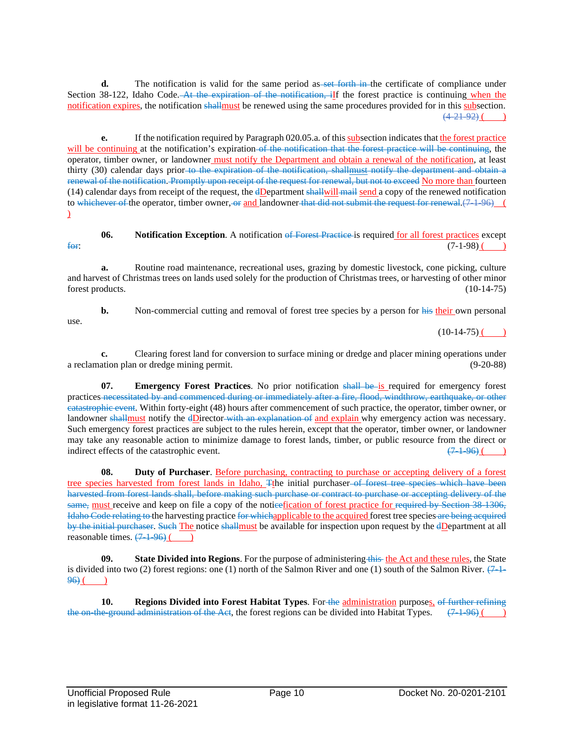**d.** The notification is valid for the same period as set forth in the certificate of compliance under Section 38-122, Idaho Code. At the expiration of the notification, iff the forest practice is continuing when the notification expires, the notification shallmust be renewed using the same procedures provided for in this subsection.  $(4-21-92)$  (

**e.** If the notification required by Paragraph 020.05.a. of this subsection indicates that the forest practice will be continuing at the notification's expiration-of the notification that the forest practice will be continuing, the operator, timber owner, or landowner must notify the Department and obtain a renewal of the notification, at least thirty (30) calendar days prior to the expiration of the notification, shallmust notify the department and obtain a renewal of the notification. Promptly upon receipt of the request for renewal, but not to exceed No more than fourteen (14) calendar days from receipt of the request, the dDepartment shallwill mail send a copy of the renewed notification to whichever of the operator, timber owner, or and landowner that did not submit the request for renewal.(7-1-96) (  $\mathcal{L}$ 

**06. Notification Exception**. A notification of Forest Practice is required for all forest practices except  $\frac{f_{\Theta}f_{\Theta}}{(7-1-98)(1-1)}$ 

**a.** Routine road maintenance, recreational uses, grazing by domestic livestock, cone picking, culture and harvest of Christmas trees on lands used solely for the production of Christmas trees, or harvesting of other minor forest products. (10-14-75)

**b.** Non-commercial cutting and removal of forest tree species by a person for his their own personal use.

 $(10-14-75)$  ( )

**c.** Clearing forest land for conversion to surface mining or dredge and placer mining operations under a reclamation plan or dredge mining permit. (9-20-88)

**07. Emergency Forest Practices**. No prior notification shall be is required for emergency forest practices necessitated by and commenced during or immediately after a fire, flood, windthrow, earthquake, or other catastrophic event. Within forty-eight (48) hours after commencement of such practice, the operator, timber owner, or landowner shallmust notify the dDirector with an explanation of and explain why emergency action was necessary. Such emergency forest practices are subject to the rules herein, except that the operator, timber owner, or landowner may take any reasonable action to minimize damage to forest lands, timber, or public resource from the direct or indirect effects of the catastrophic event.  $(7\ 1\ 96)$  ()

**08. Duty of Purchaser**. Before purchasing, contracting to purchase or accepting delivery of a forest tree species harvested from forest lands in Idaho, Tthe initial purchaser of forest tree species which have been harvested from forest lands shall, before making such purchase or contract to purchase or accepting delivery of the same, must receive and keep on file a copy of the noticefication of forest practice for required by Section 38-1306, Idaho Code relating to the harvesting practice for whichapplicable to the acquired forest tree species are being acquired by the initial purchaser. Such The notice shallmust be available for inspection upon request by the dDepartment at all reasonable times.  $(7-1-96)$  ()

**09. State Divided into Regions**. For the purpose of administering this the Act and these rules, the State is divided into two (2) forest regions: one (1) north of the Salmon River and one (1) south of the Salmon River.  $(7-1 96$ ) ( )

**10. Regions Divided into Forest Habitat Types**. For the administration purposes, of further refining the on-the-ground administration of the Act, the forest regions can be divided into Habitat Types.  $(7.1-96)$  (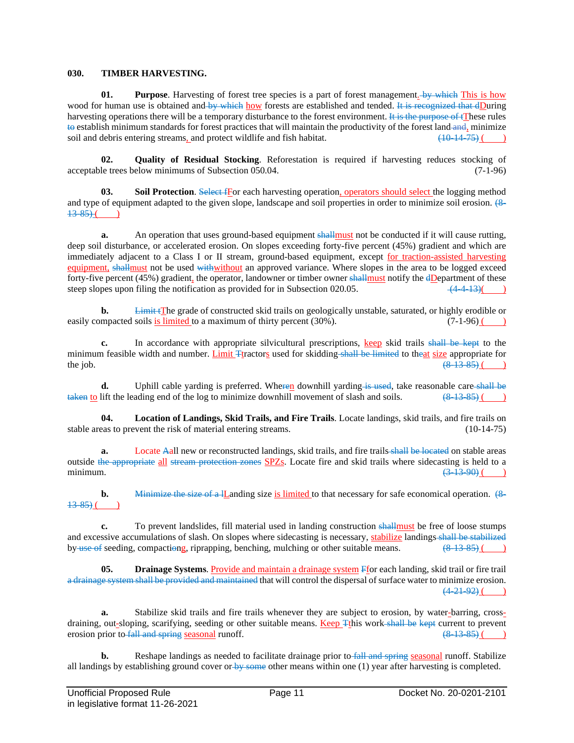#### **030. TIMBER HARVESTING.**

**01. Purpose**. Harvesting of forest tree species is a part of forest management. by which This is how wood for human use is obtained and by which how forests are established and tended. It is recognized that dDuring harvesting operations there will be a temporary disturbance to the forest environment. It is the purpose of tThese rules to establish minimum standards for forest practices that will maintain the productivity of the forest land and, minimize soil and debris entering streams, and protect wildlife and fish habitat.  $(10.14.75)$  (e) soil and debris entering streams, and protect wildlife and fish habitat.

**02. Quality of Residual Stocking**. Reforestation is required if harvesting reduces stocking of le trees below minimums of Subsection 050.04. (7-1-96) acceptable trees below minimums of Subsection 050.04.

**03. Soil Protection**. Select fFor each harvesting operation, operators should select the logging method and type of equipment adapted to the given slope, landscape and soil properties in order to minimize soil erosion. (8- $13-85$ ) ( )

**a.** An operation that uses ground-based equipment shall must not be conducted if it will cause rutting, deep soil disturbance, or accelerated erosion. On slopes exceeding forty-five percent (45%) gradient and which are immediately adjacent to a Class I or II stream, ground-based equipment, except for traction-assisted harvesting equipment, shallmust not be used withwithout an approved variance. Where slopes in the area to be logged exceed forty-five percent (45%) gradient, the operator, landowner or timber owner shall must notify the  $d$ Department of these steep slopes upon filing the notification as provided for in Subsection 020.05.  $\frac{(4-4-13)}{(4-4-13)}$ 

**b.** Limit tThe grade of constructed skid trails on geologically unstable, saturated, or highly erodible or easily compacted soils is limited to a maximum of thirty percent  $(30\%)$ .  $(7-1-96)$   $(7-1-96)$ 

**c.** In accordance with appropriate silvicultural prescriptions, keep skid trails shall be kept to the minimum feasible width and number. <u>Limit  $T$ tractors</u> used for skidding shall be limited to theat size appropriate for the iob. the job.  $(8.13-85)$  ( )

**d.** Uphill cable yarding is preferred. Wheren downhill yarding is used, take reasonable care shall be lift the leading end of the log to minimize downhill movement of slash and soils.  $(8.13.85)$  ( $\)$ )  $takeq$  to lift the leading end of the log to minimize downhill movement of slash and soils.

**04. Location of Landings, Skid Trails, and Fire Trails**. Locate landings, skid trails, and fire trails on stable areas to prevent the risk of material entering streams. (10-14-75)

**a.** Locate Aall new or reconstructed landings, skid trails, and fire trails shall be located on stable areas outside the appropriate all stream protection zones SPZs. Locate fire and skid trails where sidecasting is held to a minimum.  $(3-13-90)$  ( )

**b.** Minimize the size of a lLanding size is limited to that necessary for safe economical operation. (8- $13 - 85$ ) (

**c.** To prevent landslides, fill material used in landing construction shall must be free of loose stumps and excessive accumulations of slash. On slopes where sidecasting is necessary, stabilize landings-shall be stabilized by use of seeding, compactiong, riprapping, benching, mulching or other suitable means.  $(8-13-85)$  ()

**05. Drainage Systems**. Provide and maintain a drainage system Ffor each landing, skid trail or fire trail a drainage system shall be provided and maintained that will control the dispersal of surface water to minimize erosion.  $(4-21-92)$  ( )

**a.** Stabilize skid trails and fire trails whenever they are subject to erosion, by water-barring, crossdraining, out-sloping, scarifying, seeding or other suitable means. Keep Tthis work shall be kept current to prevent erosion prior to fall and spring seasonal runoff.  $(8-13-85)$  (

**b.** Reshape landings as needed to facilitate drainage prior to fall and spring seasonal runoff. Stabilize all landings by establishing ground cover or by some other means within one  $(1)$  year after harvesting is completed.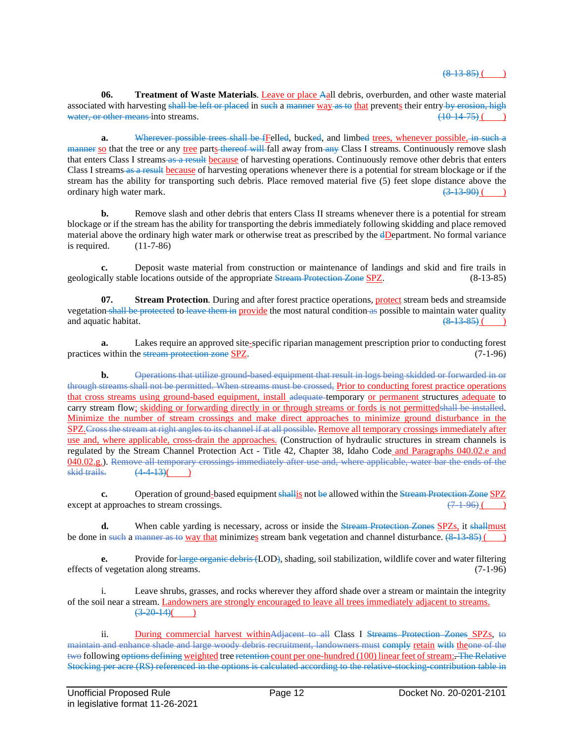# $(8, 13, 85)$  (

**06. Treatment of Waste Materials**. Leave or place Aall debris, overburden, and other waste material associated with harvesting shall be left or placed in such a manner way as to that prevents their entry by erosion, high water, or other means into streams.  $(10-14-75)$  (

**a.** Wherever possible trees shall be fFelled, bucked, and limbed trees, whenever possible, in such a manner so that the tree or any tree parts thereof will fall away from any Class I streams. Continuously remove slash that enters Class I streams as a result because of harvesting operations. Continuously remove other debris that enters Class I streams as a result because of harvesting operations whenever there is a potential for stream blockage or if the stream has the ability for transporting such debris. Place removed material five (5) feet slope distance above the ordinary high water mark.  $\left(3\frac{13}{9}\right)$  (and in the set of the set of the set of the set of the set of the set of the set of the set of the set of the set of the set of the set of the set of the set of the set of the s

**b.** Remove slash and other debris that enters Class II streams whenever there is a potential for stream blockage or if the stream has the ability for transporting the debris immediately following skidding and place removed material above the ordinary high water mark or otherwise treat as prescribed by the dDepartment. No formal variance is required.  $(11-7-86)$ 

**c.** Deposit waste material from construction or maintenance of landings and skid and fire trails in geologically stable locations outside of the appropriate Stream Protection Zone SPZ. (8-13-85)

**07. Stream Protection**. During and after forest practice operations, protect stream beds and streamside vegetation shall be protected to leave them in provide the most natural condition as possible to maintain water quality and aquatic habitat.  $(8-13-85)$  () and aquatic habitat.

**a.** Lakes require an approved site-specific riparian management prescription prior to conducting forest practices within the <del>stream protection zone</del> SPZ. (7-1-96)

**b.** Operations that utilize ground-based equipment that result in logs being skidded or forwarded in or through streams shall not be permitted. When streams must be crossed, Prior to conducting forest practice operations that cross streams using ground-based equipment, install adequate temporary or permanent structures adequate to carry stream flow; skidding or forwarding directly in or through streams or fords is not permittedshall be installed. Minimize the number of stream crossings and make direct approaches to minimize ground disturbance in the SPZ.Cross the stream at right angles to its channel if at all possible. Remove all temporary crossings immediately after use and, where applicable, cross-drain the approaches. (Construction of hydraulic structures in stream channels is regulated by the Stream Channel Protection Act - Title 42, Chapter 38, Idaho Code and Paragraphs 040.02.e and 040.02.g.). Remove all temporary crossings immediately after use and, where applicable, water bar the ends of the skid trails. (4 4 13)( )

**c.** Operation of ground-based equipment shallig not be allowed within the Stream Protection Zone SPZ except at approaches to stream crossings.  $(7-1-96)$  ()

**d.** When cable yarding is necessary, across or inside the Stream Protection Zones SPZs, it shallmust be done in such a manner as to way that minimizes stream bank vegetation and channel disturbance.  $(8-13-85)$  ()

**e.** Provide for large organic debris (LOD), shading, soil stabilization, wildlife cover and water filtering effects of vegetation along streams. (7-1-96)

i. Leave shrubs, grasses, and rocks wherever they afford shade over a stream or maintain the integrity of the soil near a stream. Landowners are strongly encouraged to leave all trees immediately adjacent to streams.  $(3-20-14)$ ( )

ii. During commercial harvest withinAdjacent to all Class I Streams Protection Zones SPZs, to maintain and enhance shade and large woody debris recruitment, landowners must comply retain with theone of the two following options defining weighted tree retention count per one-hundred (100) linear feet of stream: The Relative Stocking per acre (RS) referenced in the options is calculated according to the relative-stocking-contribution table in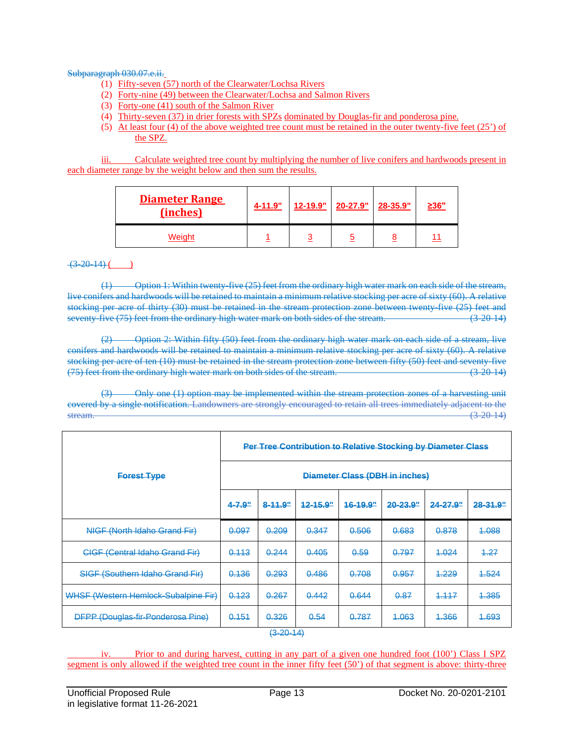#### Subparagraph 030.07.e.ii.

- (1) Fifty-seven (57) north of the Clearwater/Lochsa Rivers
- (2) Forty-nine (49) between the Clearwater/Lochsa and Salmon Rivers
- (3) Forty-one (41) south of the Salmon River
- (4) Thirty-seven (37) in drier forests with SPZs dominated by Douglas-fir and ponderosa pine.
- (5) At least four (4) of the above weighted tree count must be retained in the outer twenty-five feet (25') of the SPZ.

iii. Calculate weighted tree count by multiplying the number of live conifers and hardwoods present in each diameter range by the weight below and then sum the results.

| <b>Diameter Range</b><br>(inches) | 4-11.9" |   | <u>12-19.9"</u> 20-27.9" 28-35.9" | <u>≥36"</u> |
|-----------------------------------|---------|---|-----------------------------------|-------------|
| Weiaht                            |         | ◠ |                                   | 11          |

# $(3-20-14)$  ( )

(1) Option 1: Within twenty-five (25) feet from the ordinary high water mark on each side of the stream, live conifers and hardwoods will be retained to maintain a minimum relative stocking per acre of sixty (60). A relative stocking per acre of thirty (30) must be retained in the stream protection zone between twenty-five (25) feet and seventy-five (75) feet from the ordinary high water mark on both sides of the stream. (3-20-14)

(2) Option 2: Within fifty (50) feet from the ordinary high water mark on each side of a stream, live conifers and hardwoods will be retained to maintain a minimum relative stocking per acre of sixty (60). A relative stocking per acre of ten (10) must be retained in the stream protection zone between fifty (50) feet and seventy-five (75) feet from the ordinary high water mark on both sides of the stream. (3-20-14)

Only one (1) option may be implemented within the stream protection zones of a harvesting unit covered by a single notification. Landowners are strongly encouraged to retain all trees immediately adjacent to the  $\frac{1}{3}$ stream.  $\frac{1}{3}$  2014)

|                                          | Per Tree Contribution to Relative Stocking by Diameter Class |                  |             |             |             |                     |             |  |
|------------------------------------------|--------------------------------------------------------------|------------------|-------------|-------------|-------------|---------------------|-------------|--|
| <b>Forest Type</b>                       | Diameter Class (DBH in inches)                               |                  |             |             |             |                     |             |  |
|                                          | $4 - 7.9"$                                                   | 8-11.9"          | $42 - 15.9$ | $16 - 19.9$ | $20 - 23.9$ | <del>24-27.9"</del> | $28 - 31.9$ |  |
| NIGF (North Idaho Grand Fir)             | 0.097                                                        | 0.209            | 0.347       | 0.506       | 0.683       | 0.878               | 4.088       |  |
| <b>CIGF (Central Idaho Grand Fir)</b>    | 0.113                                                        | 0.244            | 0.405       | 0.59        | 0.797       | 4.024               | 4.27        |  |
| <b>SIGF (Southern Idaho Grand Fir)</b>   | 0.136                                                        | 0.293            | 0.486       | 0.708       | 0.957       | 4.229               | 4.524       |  |
| WHSF (Western Hemlock-Subalpine Fir)     | 0.123                                                        | 0.267            | 0.442       | 0.644       | 0.87        | 1.117               | 4.385       |  |
| <b>DFPP (Douglas-fir-Ponderosa Pine)</b> | 0.151                                                        | 0.326<br>(0.001) | 0.54        | 0.787       | 4.063       | 4.366               | 4.693       |  |

 $(3 - 20 - 14)$ 

iv. Prior to and during harvest, cutting in any part of a given one hundred foot (100') Class I SPZ segment is only allowed if the weighted tree count in the inner fifty feet (50') of that segment is above: thirty-three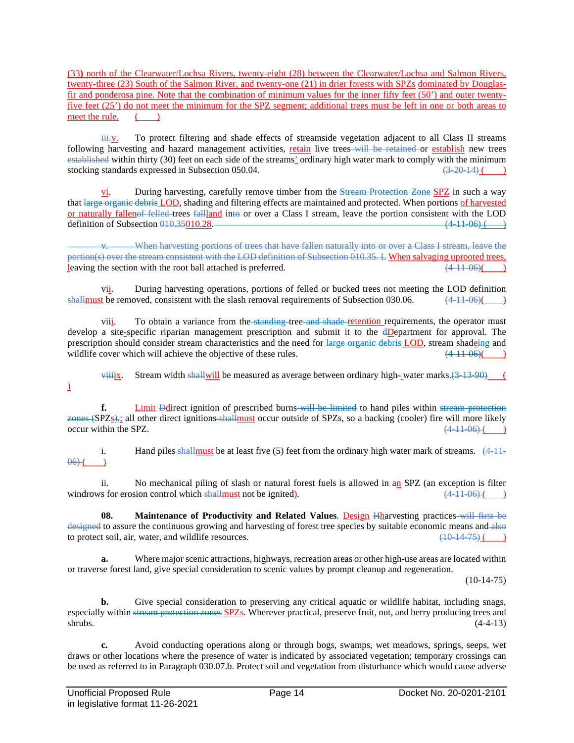(33**)** north of the Clearwater/Lochsa Rivers, twenty-eight (28) between the Clearwater/Lochsa and Salmon Rivers, twenty-three (23) South of the Salmon River, and twenty-one (21) in drier forests with SPZs dominated by Douglasfir and ponderosa pine. Note that the combination of minimum values for the inner fifty feet (50') and outer twentyfive feet (25') do not meet the minimum for the SPZ segment; additional trees must be left in one or both areas to meet the rule.  $($ 

 $\frac{\partial u}{\partial x}$ . To protect filtering and shade effects of streamside vegetation adjacent to all Class II streams following harvesting and hazard management activities, retain live trees will be retained or establish new trees established within thirty (30) feet on each side of the streams' ordinary high water mark to comply with the minimum stocking standards expressed in Subsection 050.04. stocking standards expressed in Subsection 050.04.

vi. During harvesting, carefully remove timber from the Stream Protection Zone SPZ in such a way that large organic debris LOD, shading and filtering effects are maintained and protected. When portions of harvested or naturally fallenof felled trees fallland into or over a Class I stream, leave the portion consistent with the LOD definition of Subsection  $0.10,35010.28$ .

When harvesting portions of trees that have fallen naturally into or over a Class I stream, leave the portion(s) over the stream consistent with the LOD definition of Subsection 010.35. L When salvaging uprooted trees, leaving the section with the root ball attached is preferred.  $(4.11-06)$ 

vii. During harvesting operations, portions of felled or bucked trees not meeting the LOD definition shall must be removed, consistent with the slash removal requirements of Subsection 030.06.  $(4-11-06)$ 

viii. To obtain a variance from the standing tree and shade retention requirements, the operator must develop a site-specific riparian management prescription and submit it to the dDepartment for approval. The prescription should consider stream characteristics and the need for large organic debris LOD, stream shadeing and wildlife cover which will achieve the objective of these rules.  $(4.11-06)$  (

 $\overrightarrow{viiiix}$ . Stream width shall will be measured as average between ordinary high-water marks.(3-13-90) (  $\overline{a}$ 

**f.** Limit Ddirect ignition of prescribed burns will be limited to hand piles within stream protection zones (SPZs)<sub>7</sub>; all other direct ignitions shallmust occur outside of SPZs, so a backing (cooler) fire will more likely occur within the SPZ.  $(4.11.06)$  ( $(4.11.06)$ ) occur within the SPZ.

i. Hand piles shall must be at least five  $(5)$  feet from the ordinary high water mark of streams.  $\left(4.11\right)$  $06$ )  $($ 

ii. No mechanical piling of slash or natural forest fuels is allowed in an SPZ (an exception is filter windrows for erosion control which shall must not be ignited).  $(4.11-06)$  ( )

**08. Maintenance of Productivity and Related Values**. Design Hharvesting practices will first be designed to assure the continuous growing and harvesting of forest tree species by suitable economic means and also to protect soil, air, water, and wildlife resources.  $\left(10\right.14\right.75)$  ( )

**a.** Where major scenic attractions, highways, recreation areas or other high-use areas are located within or traverse forest land, give special consideration to scenic values by prompt cleanup and regeneration.

 $(10-14-75)$ 

**b.** Give special consideration to preserving any critical aquatic or wildlife habitat, including snags, especially within stream protection zones SPZs. Wherever practical, preserve fruit, nut, and berry producing trees and  $\epsilon$ shrubs. (4-4-13)

**c.** Avoid conducting operations along or through bogs, swamps, wet meadows, springs, seeps, wet draws or other locations where the presence of water is indicated by associated vegetation; temporary crossings can be used as referred to in Paragraph 030.07.b. Protect soil and vegetation from disturbance which would cause adverse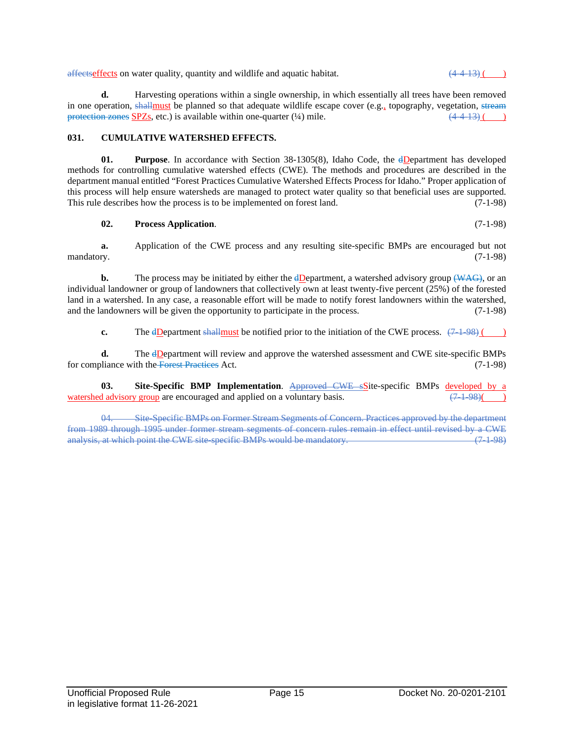affects on water quality, quantity and wildlife and aquatic habitat.  $(4.4-13)($ 

**d.** Harvesting operations within a single ownership, in which essentially all trees have been removed in one operation, shallmust be planned so that adequate wildlife escape cover (e.g., topography, vegetation, stream protection zones SPZs, etc.) is available within one-quarter  $(\frac{1}{4})$  mile.  $(\frac{44-13}{4})$  ()

## **031. CUMULATIVE WATERSHED EFFECTS.**

**01. Purpose**. In accordance with Section 38-1305(8), Idaho Code, the dDepartment has developed methods for controlling cumulative watershed effects (CWE). The methods and procedures are described in the department manual entitled "Forest Practices Cumulative Watershed Effects Process for Idaho." Proper application of this process will help ensure watersheds are managed to protect water quality so that beneficial uses are supported.<br>This rule describes how the process is to be implemented on forest land. (7-1-98) This rule describes how the process is to be implemented on forest land.

#### **02. Process Application**. (7-1-98)

**a.** Application of the CWE process and any resulting site-specific BMPs are encouraged but not mandatory.  $(7-1-98)$ 

**b.** The process may be initiated by either the dDepartment, a watershed advisory group (WAG), or an individual landowner or group of landowners that collectively own at least twenty-five percent (25%) of the forested land in a watershed. In any case, a reasonable effort will be made to notify forest landowners within the watershed, and the landowners will be given the opportunity to participate in the process. (7-1-98)

**c.** The dDepartment shallmust be notified prior to the initiation of the CWE process.  $(7\pm 98)$  ()

**d.** The dDepartment will review and approve the watershed assessment and CWE site-specific BMPs for compliance with the Forest Practices Act. (7-1-98)

**03. Site-Specific BMP Implementation**. Approved CWE sSite-specific BMPs developed by a diadvisory group are encouraged and applied on a voluntary basis. watershed advisory group are encouraged and applied on a voluntary basis.

04. Site-Specific BMPs on Former Stream Segments of Concern. Practices approved by the department from 1989 through 1995 under former stream segments of concern rules remain in effect until revised by a CWE<br>
analysis at which point the CWE site-specific BMPs would be mandatory. analysis, at which point the CWE site-specific BMPs would be mandatory.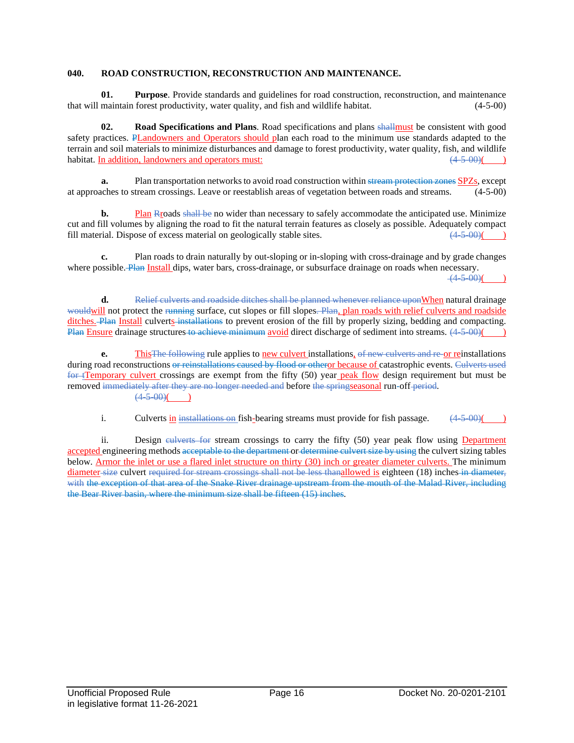# **040. ROAD CONSTRUCTION, RECONSTRUCTION AND MAINTENANCE.**

**01. Purpose**. Provide standards and guidelines for road construction, reconstruction, and maintenance that will maintain forest productivity, water quality, and fish and wildlife habitat. (4-5-00)

**02. Road Specifications and Plans**. Road specifications and plans shallmust be consistent with good safety practices. PLandowners and Operators should plan each road to the minimum use standards adapted to the terrain and soil materials to minimize disturbances and damage to forest productivity, water quality, fish, and wildlife habitat. In addition, landowners and operators must:  $(4-5-00)$  (4.5.00)

**a.** Plan transportation networks to avoid road construction within stream protection zones SPZs, except at approaches to stream crossings. Leave or reestablish areas of vegetation between roads and streams. (4-5-00)

**b.** Plan Rroads shall be no wider than necessary to safely accommodate the anticipated use. Minimize cut and fill volumes by aligning the road to fit the natural terrain features as closely as possible. Adequately compact fill material. Dispose of excess material on geologically stable sites.  $(4-5-00)$  ()

**c.** Plan roads to drain naturally by out-sloping or in-sloping with cross-drainage and by grade changes where possible. Plan Install dips, water bars, cross-drainage, or subsurface drainage on roads when necessary.

 $(4-5-00)$ 

**d.** Relief culverts and roadside ditches shall be planned whenever reliance uponWhen natural drainage wouldwill not protect the running surface, cut slopes or fill slopes. Plan, plan roads with relief culverts and roadside ditches. Plan Install culverts installations to prevent erosion of the fill by properly sizing, bedding and compacting. Plan Ensure drainage structures to achieve minimum avoid direct discharge of sediment into streams.  $(4-5-00)()$ 

**e.** This The following rule applies to new culvert installations, of new culverts and re-or reinstallations during road reconstructions or reinstallations caused by flood or otheror because of catastrophic events. Culverts used for tTemporary culvert crossings are exempt from the fifty (50) year peak flow design requirement but must be removed immediately after they are no longer needed and before the springseasonal run-off period.  $(4.5,00)$ ( )

i. Culverts in installations on fish-bearing streams must provide for fish passage.  $(4.5-0.0)$ 

ii. Design eulverts for stream crossings to carry the fifty (50) year peak flow using Department accepted engineering methods acceptable to the department or determine culvert size by using the culvert sizing tables below. Armor the inlet or use a flared inlet structure on thirty (30) inch or greater diameter culverts. The minimum diameter size culvert required for stream crossings shall not be less thanallowed is eighteen (18) inches in diameter, with the exception of that area of the Snake River drainage upstream from the mouth of the Malad River, including the Bear River basin, where the minimum size shall be fifteen (15) inches.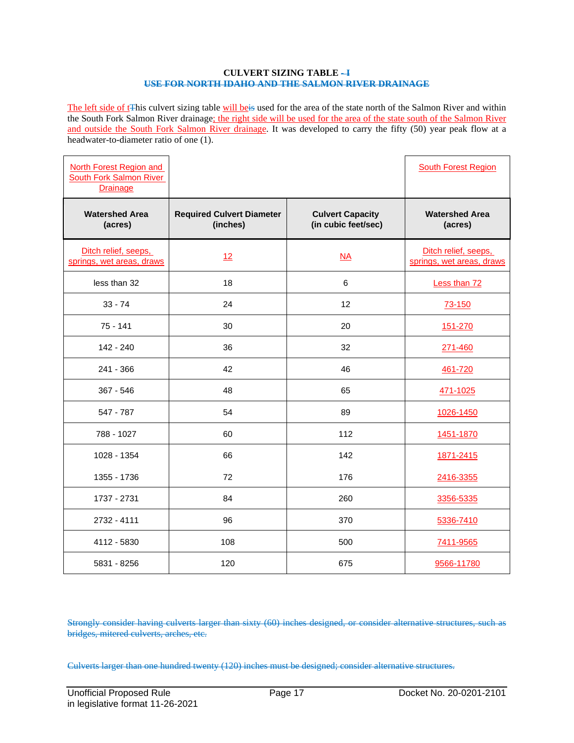#### **CULVERT SIZING TABLE - I USE FOR NORTH IDAHO AND THE SALMON RIVER DRAINAGE**

The left side of t<sup>This</sup> culvert sizing table will be used for the area of the state north of the Salmon River and within the South Fork Salmon River drainage; the right side will be used for the area of the state south of the Salmon River and outside the South Fork Salmon River drainage. It was developed to carry the fifty (50) year peak flow at a headwater-to-diameter ratio of one (1).

| North Forest Region and<br><b>South Fork Salmon River</b><br><b>Drainage</b> |                                              |                                                | <b>South Forest Region</b>                        |
|------------------------------------------------------------------------------|----------------------------------------------|------------------------------------------------|---------------------------------------------------|
| <b>Watershed Area</b><br>(acres)                                             | <b>Required Culvert Diameter</b><br>(inches) | <b>Culvert Capacity</b><br>(in cubic feet/sec) | <b>Watershed Area</b><br>(acres)                  |
| Ditch relief, seeps,<br>springs, wet areas, draws                            | 12                                           | $\overline{NA}$                                | Ditch relief, seeps,<br>springs, wet areas, draws |
| less than 32                                                                 | 18                                           | 6                                              | Less than 72                                      |
| $33 - 74$                                                                    | 24                                           | 12                                             | 73-150                                            |
| $75 - 141$                                                                   | 30                                           | 20                                             | 151-270                                           |
| $142 - 240$                                                                  | 36                                           | 32                                             | 271-460                                           |
| $241 - 366$                                                                  | 42                                           | 46                                             | 461-720                                           |
| $367 - 546$                                                                  | 48                                           | 65                                             | 471-1025                                          |
| 547 - 787                                                                    | 54                                           | 89                                             | 1026-1450                                         |
| 788 - 1027                                                                   | 60                                           | 112                                            | 1451-1870                                         |
| 1028 - 1354                                                                  | 66                                           | 142                                            | 1871-2415                                         |
| 1355 - 1736                                                                  | 72                                           | 176                                            | 2416-3355                                         |
| 1737 - 2731                                                                  | 84                                           | 260                                            | 3356-5335                                         |
| 2732 - 4111                                                                  | 96                                           | 370                                            | 5336-7410                                         |
| 4112 - 5830                                                                  | 108                                          | 500                                            | 7411-9565                                         |
| 5831 - 8256                                                                  | 120                                          | 675                                            | 9566-11780                                        |

Strongly consider having culverts larger than sixty (60) inches designed, or consider alternative structures, such as bridges, mitered culverts, arches, etc.

Culverts larger than one hundred twenty (120) inches must be designed; consider alternative structures.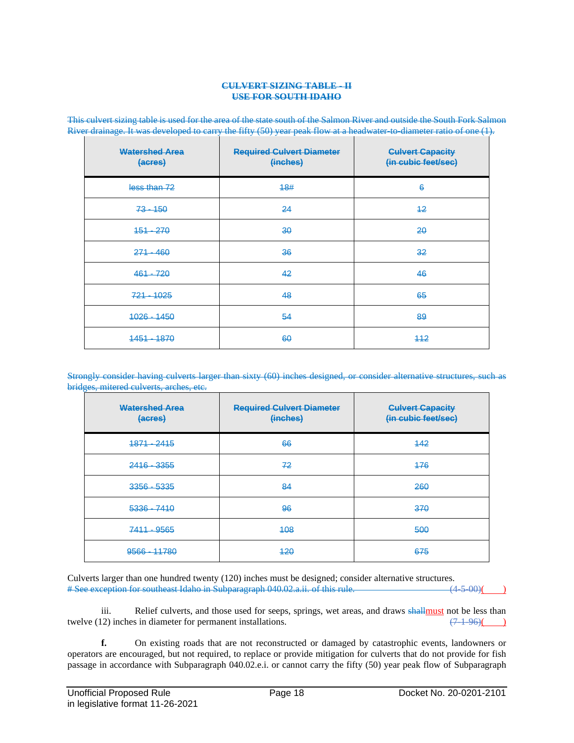#### **CULVERT SIZING TABLE - II USE FOR SOUTH IDAHO**

| <b>Watershed Area</b><br>(acres) | <b>Required Culvert Diameter</b><br>(inches) | <b>Culvert Capacity</b><br>(in cubic feet/sec) |
|----------------------------------|----------------------------------------------|------------------------------------------------|
| less than 72                     | 18#                                          | 6                                              |
| $73 - 150$                       | 24                                           | $+2$                                           |
| $151 - 270$                      | 30                                           | 20                                             |
| $271 - 460$                      | 36                                           | 32                                             |
| $461 - 720$                      | 42                                           | 46                                             |
| $721 - 1025$                     | 48                                           | 65                                             |
| $1026 - 1450$                    | 54                                           | 89                                             |
| 1451 - 1870                      | 60                                           | $+12$                                          |

This culvert sizing table is used for the area of the state south of the Salmon River and outside the South Fork Salmon River drainage. It was developed to carry the fifty (50) year peak flow at a headwater-to-diameter ratio of one (1).

Strongly consider having culverts larger than sixty (60) inches designed, or consider alternative structures, such as bridges, mitered culverts, arches, etc.

| <b>Watershed Area</b><br>(acres) | <b>Required Culvert Diameter</b><br>(inches) | <b>Culvert Capacity</b><br>(in cubic feet/sec) |
|----------------------------------|----------------------------------------------|------------------------------------------------|
| $1871 - 2415$                    | 66                                           | 142                                            |
| 2416 - 3355                      | 72                                           | 476                                            |
| $3356 - 5335$                    | 84                                           | 260                                            |
| $5336 - 7410$                    | 96                                           | 370                                            |
| 7411 - 9565                      | 408                                          | 500                                            |
| 9566 - 11780                     | 420                                          | 675                                            |

Culverts larger than one hundred twenty (120) inches must be designed; consider alternative structures.<br>
# See exception for southeast Idaho in Subparagraph 040.02.a.ii. of this rule. (4-5-00) (4-5-00) # See exception for southeast Idaho in Subparagraph 040.02.a.ii. of this rule.

iii. Relief culverts, and those used for seeps, springs, wet areas, and draws shall must not be less than twelve (12) inches in diameter for permanent installations.  $(7.1-96)$  ()

**f.** On existing roads that are not reconstructed or damaged by catastrophic events, landowners or operators are encouraged, but not required, to replace or provide mitigation for culverts that do not provide for fish passage in accordance with Subparagraph 040.02.e.i. or cannot carry the fifty (50) year peak flow of Subparagraph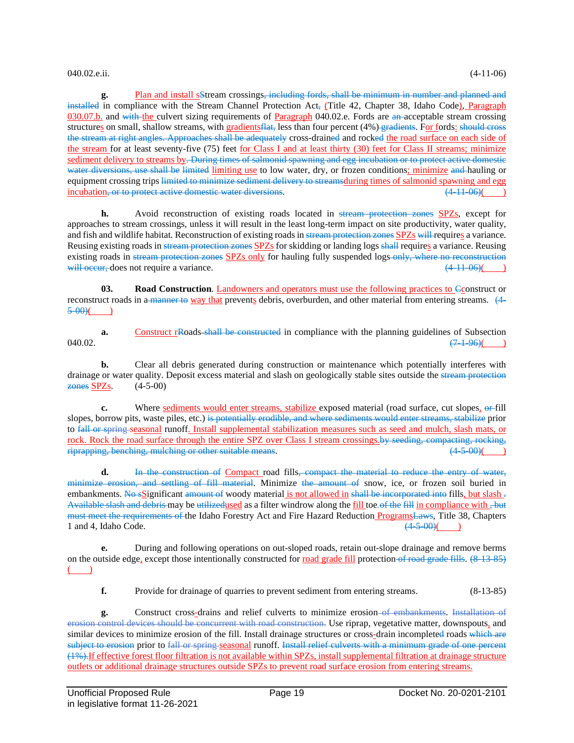# 040.02.e.ii. (4-11-06)

**g.** Plan and install sStream crossings, including fords, shall be minimum in number and planned and installed in compliance with the Stream Channel Protection Act<sub>r</sub> (Title 42, Chapter 38, Idaho Code), Paragraph 030.07.b. and with the culvert sizing requirements of Paragraph 040.02.e. Fords are an acceptable stream crossing structures on small, shallow streams, with gradients flat, less than four percent (4%) gradients. For fords: should cross the stream at right angles. Approaches shall be adequately cross-drained and rocked the road surface on each side of the stream for at least seventy-five (75) feet <u>for Class I and at least thirty</u> (30) feet for Class II streams; minimize sediment delivery to streams by. During times of salmonid spawning and egg incubation or to protect active domestic water diversions, use shall be limited limiting use to low water, dry, or frozen conditions; minimize and hauling or equipment crossing trips limited to minimize sediment delivery to streamsduring times of salmonid spawning and egg incubation, or to protect active domestic water diversions. (4-11-06)( )

**h.** Avoid reconstruction of existing roads located in stream protection zones SPZs, except for approaches to stream crossings, unless it will result in the least long-term impact on site productivity, water quality, and fish and wildlife habitat. Reconstruction of existing roads in stream protection zones SPZs will requires a variance. Reusing existing roads in stream protection zones SPZs for skidding or landing logs shall requires a variance. Reusing existing roads in stream protection zones SPZs only for hauling fully suspended logs only, where no reconstruction will occur, does not require a variance.  $(4.11-06)$ 

**03. Road Construction**. Landowners and operators must use the following practices to Cconstruct or reconstruct roads in a manner to way that prevents debris, overburden, and other material from entering streams. (4-  $5 - 00$ )(

**a.** Construct rRoads shall be constructed in compliance with the planning guidelines of Subsection  $(71-96)$ ( $(71-96)$ )

**b.** Clear all debris generated during construction or maintenance which potentially interferes with drainage or water quality. Deposit excess material and slash on geologically stable sites outside the stream protection zones SPZs. (4-5-00)

**c.** Where sediments would enter streams, stabilize exposed material (road surface, cut slopes, or fill slopes, borrow pits, waste piles, etc.) is potentially erodible, and where sediments would enter streams, stabilize prior to fall or spring seasonal runoff. Install supplemental stabilization measures such as seed and mulch, slash mats, or rock. Rock the road surface through the entire SPZ over Class I stream crossings.by seeding, compacting, rocking, riprapping, benching, mulching or other suitable means.  $(4-5-00)($ 

**d.** In the construction of Compact road fills, compact the material to reduce the entry of water, minimize erosion, and settling of fill material. Minimize the amount of snow, ice, or frozen soil buried in embankments. No sSignificant amount of woody material is not allowed in shall be incorporated into fills, but slash  $\pm$ Available slash and debris may be utilizedused as a filter windrow along the fill toe of the fill in compliance with  $\frac{1}{2}$ must meet the requirements of the Idaho Forestry Act and Fire Hazard Reduction ProgramsLaws, Title 38, Chapters 1 and 4. Idaho Code. 1 and 4. Idaho Code.

**e.** During and following operations on out-sloped roads, retain out-slope drainage and remove berms on the outside edge, except those intentionally constructed for road grade fill protection of road grade fills. (8-13-85)  $($ 

**f.** Provide for drainage of quarries to prevent sediment from entering streams. (8-13-85)

**g.** Construct cross-drains and relief culverts to minimize erosion of embankments. Installation of erosion control devices should be concurrent with road construction. Use riprap, vegetative matter, downspouts, and similar devices to minimize erosion of the fill. Install drainage structures or cross-drain incompleted roads which are subject to erosion prior to fall or spring seasonal runoff. Install relief culverts with a minimum grade of one percent (1%).If effective forest floor filtration is not available within SPZs, install supplemental filtration at drainage structure outlets or additional drainage structures outside SPZs to prevent road surface erosion from entering streams.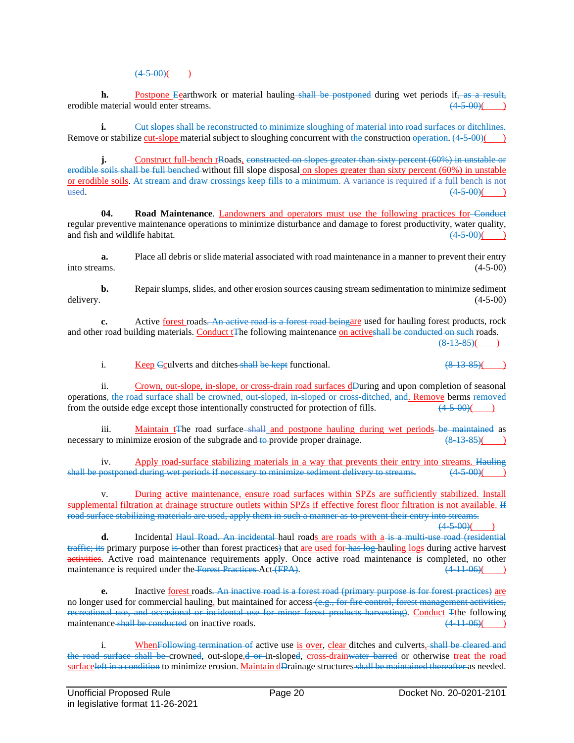$(4-5-00)$ ( )

**h.** Postpone Eearthwork or material hauling shall be postponed during wet periods if, as a result, material would enter streams. (4.5.00) (and the streams) erodible material would enter streams.

**i.** Cut slopes shall be reconstructed to minimize sloughing of material into road surfaces or ditchlines. Remove or stabilize cut-slope material subject to sloughing concurrent with the construction operation. (4-5-00)(

**j.** Construct full-bench rRoads, constructed on slopes greater than sixty percent (60%) in unstable or erodible soils shall be full benched without fill slope disposal on slopes greater than sixty percent (60%) in unstable or erodible soils. At stream and draw crossings keep fills to a minimum. A variance is required if a full bench is not  $\frac{1}{(4-5-00)(})$ 

**04. Road Maintenance**. Landowners and operators must use the following practices for Conduct regular preventive maintenance operations to minimize disturbance and damage to forest productivity, water quality, and fish and wildlife habitat.  $(4-5-0.0)$ 

**a.** Place all debris or slide material associated with road maintenance in a manner to prevent their entry into streams. (4-5-00)

**b.** Repair slumps, slides, and other erosion sources causing stream sedimentation to minimize sediment delivery. (4-5-00) delivery. (4-5-00)

**c.** Active forest roads. An active road is a forest road beingare used for hauling forest products, rock and other road building materials. Conduct t<sub>The following</sub> maintenance on activeshall be conducted on such roads.

 $(8-13-85)$ 

i. Keep Cculverts and ditches shall be kept functional.  $(8-13-85)$ 

ii. Crown, out-slope, in-slope, or cross-drain road surfaces dDuring and upon completion of seasonal operations<del>, the road surface shall be crowned, out-sloped, in-sloped or cross-ditched, and. Remove berms removed from the outside edge except those intentionally constructed for protection of fills.  $(4.5-0.0)($ </del> from the outside edge except those intentionally constructed for protection of fills.

iii. Maintain t<sub>T</sub>he road surface shall and postpone hauling during wet periods be maintained as v to minimize erosion of the subgrade and to provide proper drainage. necessary to minimize erosion of the subgrade and to provide proper drainage.

iv. Apply road-surface stabilizing materials in a way that prevents their entry into streams. Hauling shall be postponed during wet periods if necessary to minimize sediment delivery to streams. (4-5-00)

During active maintenance, ensure road surfaces within SPZs are sufficiently stabilized. Install supplemental filtration at drainage structure outlets within SPZs if effective forest floor filtration is not available. If road surface stabilizing materials are used, apply them in such a manner as to prevent their entry into streams.  $(4-5,00)$ 

**d.** Incidental Haul Road. An incidental haul roads are roads with a is a multi-use road (residential traffic; its primary purpose is other than forest practices) that are used for has log hauling logs during active harvest activities. Active road maintenance requirements apply. Once active road maintenance is completed, no other maintenance is required under the Forest Practices Act  $(FPA)$ .  $(4-11-06)$  (

**e.** Inactive <u>forest</u> roads. An inactive road is a forest road (primary purpose is for forest practices) are no longer used for commercial hauling, but maintained for access (e.g., for fire control, forest management activities, recreational use, and occasional or incidental use for minor forest products harvesting). Conduct Tthe following maintenance shall be conducted on inactive roads. (4.11.06)( maintenance shall be conducted on inactive roads.

i. WhenFollowing termination of active use is over, clear ditches and culverts, shall be cleared and the road surface shall be crowned, out-slope,d or in-sloped, cross-drainwater barred or otherwise treat the road surfaceleft in a condition to minimize erosion. Maintain dDrainage structures shall be maintained thereafter as needed.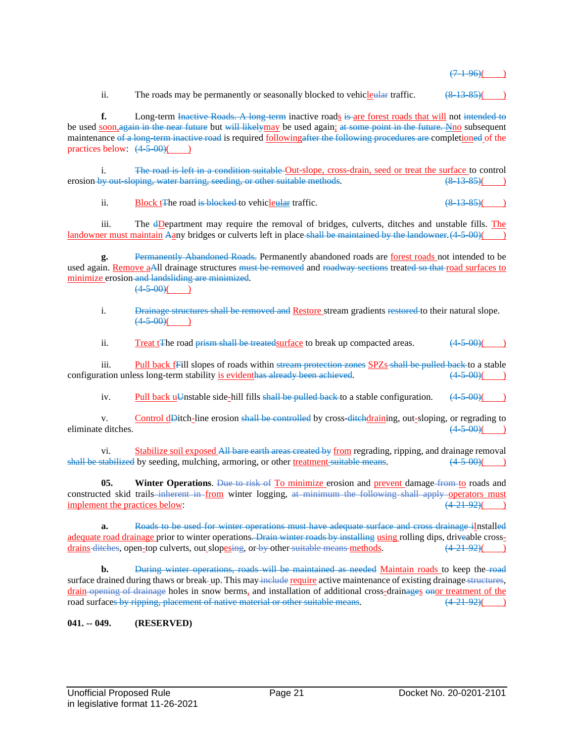$(7 - 1.96)$ 

ii. The roads may be permanently or seasonally blocked to vehicle all that traffic.  $(8-13-85)$ 

**f.** Long-term Inactive Roads. A long-term inactive roads is are forest roads that will not intended to be used soon, again in the near future but will likely may be used again; at some point in the future. Nno subsequent maintenance of a long-term inactive road is required followingafter the following procedures are completioned of the practices below:  $(4-5-00)$ 

i. The road is left in a condition suitable Out-slope, cross-drain, seed or treat the surface to control erosion by out-sloping, water barring, seeding, or other suitable methods.  $(8-13-85)$ 

ii. Block tThe road is blocked to vehicle ular traffic.  $(8\frac{13}{85})$ 

iii. The dDepartment may require the removal of bridges, culverts, ditches and unstable fills. The landowner must maintain Aany bridges or culverts left in place-shall be maintained by the landowner. (4-5-00)(

**g.** Permanently Abandoned Roads. Permanently abandoned roads are forest roads not intended to be used again. Remove aAll drainage structures must be removed and roadway sections treated so that road surfaces to minimize erosion and landsliding are minimized.

 $(4-5-00)$ ( )

i. Drainage structures shall be removed and Restore stream gradients restored to their natural slope.  $(4-5-00)$ ( )

ii. Treat t<sub>T</sub>he road <del>prism shall be treated surface</del> to break up compacted areas.  $(4-5-00)$ 

iii. Pull back fFill slopes of roads within stream protection zones SPZs shall be pulled back to a stable configuration unless long-term stability is evident<del>has already been achieved</del>.  $(4-5-00)($ 

iv. Pull back uUnstable side-hill fills shall be pulled back to a stable configuration.  $(4.5-0.0)($ 

v. Control dDitch-line erosion shall be controlled by cross-ditchdraining, out-sloping, or regrading to editches.  $(4.5-0.0)($ eliminate ditches.

vi. Stabilize soil exposed All bare earth areas created by from regrading, ripping, and drainage removal shall be stabilized by seeding, mulching, armoring, or other treatment suitable means.  $(4.5-00)($ 

**05. Winter Operations**. Due to risk of To minimize erosion and prevent damage from to roads and constructed skid trails inherent in from winter logging, at minimum the following shall apply operators must implement the practices below:  $(4-21-92)$ 

**a.** Roads to be used for winter operations must have adequate surface and cross drainage iInstalled adequate road drainage prior to winter operations. Drain winter roads by installing using rolling dips, driveable crossdrains ditches, open-top culverts, out slopesing, or by other suitable means methods.  $(4-21-92)$ 

**b.** <del>During winter operations, roads will be maintained as needed</del> Maintain roads to keep the road surface drained during thaws or break-up. This may include require active maintenance of existing drainage structures, drain opening of drainage holes in snow berms, and installation of additional cross-drainages onor treatment of the road surfaces by ripping, placement of native material or other suitable means.  $(4-21-92)()$ 

**041. -- 049. (RESERVED)**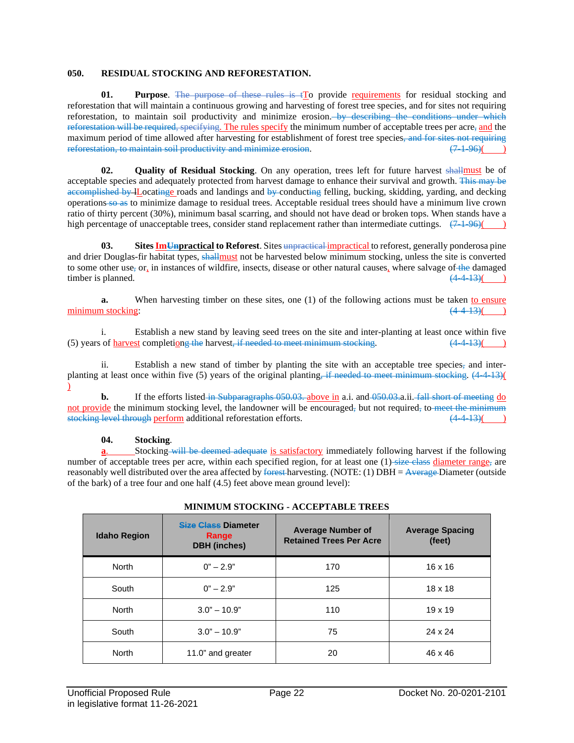## **050. RESIDUAL STOCKING AND REFORESTATION.**

**01. Purpose**. The purpose of these rules is  $\pm$  To provide requirements for residual stocking and reforestation that will maintain a continuous growing and harvesting of forest tree species, and for sites not requiring reforestation, to maintain soil productivity and minimize erosion. by describing the conditions under which reforestation will be required, specifying. The rules specify the minimum number of acceptable trees per acre, and the maximum period of time allowed after harvesting for establishment of forest tree species, and for sites not requiring reforestation, to maintain soil productivity and minimize erosion.  $(7\ 1\ 96)()$ 

**02. Quality of Residual Stocking**. On any operation, trees left for future harvest shallmust be of acceptable species and adequately protected from harvest damage to enhance their survival and growth. This may be accomplished by lLocatinge roads and landings and by conducting felling, bucking, skidding, yarding, and decking operations so as to minimize damage to residual trees. Acceptable residual trees should have a minimum live crown ratio of thirty percent (30%), minimum basal scarring, and should not have dead or broken tops. When stands have a high percentage of unacceptable trees, consider stand replacement rather than intermediate cuttings.  $(7.1-96)$ ()

**03.** Sites **ImUnpractical** to Reforest. Sites unpractical impractical to reforest, generally ponderosa pine and drier Douglas-fir habitat types, shallmust not be harvested below minimum stocking, unless the site is converted to some other use, or, in instances of wildfire, insects, disease or other natural causes, where salvage of the damaged timber is planned.  $(4\ 4\ 13)($ 

**a.** When harvesting timber on these sites, one (1) of the following actions must be taken to ensure  $\frac{(4.4-13)}{(4.4-13)}$ minimum stocking:

i. Establish a new stand by leaving seed trees on the site and inter-planting at least once within five (5) years of harvest completiong the harvest, if needed to meet minimum stocking.  $(44-13)()$ 

ii. Establish a new stand of timber by planting the site with an acceptable tree species, and interplanting at least once within five (5) years of the original planting, if needed to meet minimum stocking. (4-4-13)(  $\mathcal{L}$ 

**b.** If the efforts listed in Subparagraphs 050.03, above in a.i. and 050.03, a.ii. fall short of meeting do not provide the minimum stocking level, the landowner will be encouraged, but not required, to meet the minimum stocking level through perform additional reforestation efforts. (4-4-13)( )

# **04. Stocking**.

Stocking-will be deemed adequate is satisfactory immediately following harvest if the following number of acceptable trees per acre, within each specified region, for at least one  $(1)$ -size class diameter range, are reasonably well distributed over the area affected by forest harvesting. (NOTE: (1) DBH =  $\frac{\text{Average}}{\text{Parameter}}$  (outside of the bark) of a tree four and one half (4.5) feet above mean ground level):

| <b>Idaho Region</b> | Size Class Diameter<br>Range<br><b>DBH</b> (inches) | <b>Average Number of</b><br><b>Retained Trees Per Acre</b> | <b>Average Spacing</b><br>(feet) |
|---------------------|-----------------------------------------------------|------------------------------------------------------------|----------------------------------|
| <b>North</b>        | $0" - 2.9"$                                         | 170                                                        | $16 \times 16$                   |
| South               | $0" - 2.9"$                                         | 125                                                        | $18 \times 18$                   |
| <b>North</b>        | $3.0" - 10.9"$                                      | 110                                                        | $19 \times 19$                   |
| South               | $3.0" - 10.9"$                                      | 75                                                         | 24 x 24                          |
| <b>North</b>        | 11.0" and greater                                   | 20                                                         | 46 x 46                          |

# **MINIMUM STOCKING - ACCEPTABLE TREES**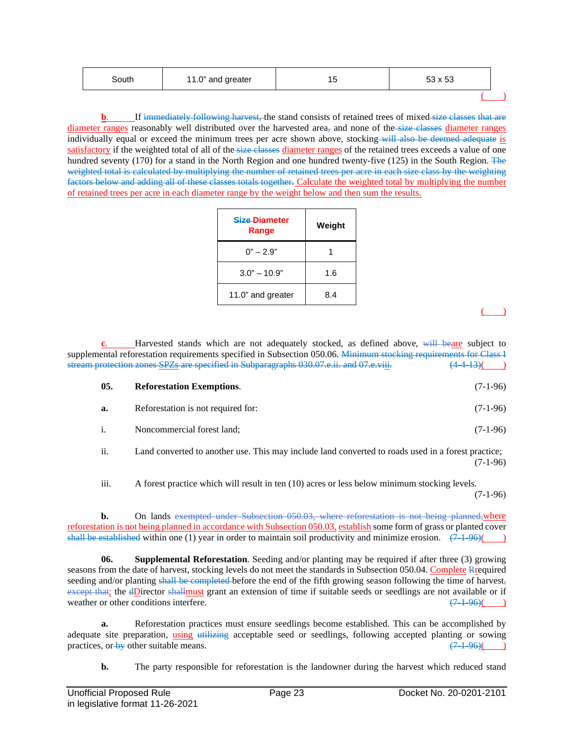| South | 11.0" and greater | ں ا | 53 x 53 |  |
|-------|-------------------|-----|---------|--|
|       |                   |     |         |  |

If immediately following harvest, the stand consists of retained trees of mixed size classes that are diameter ranges reasonably well distributed over the harvested area<sub>r</sub> and none of the size classes diameter ranges individually equal or exceed the minimum trees per acre shown above, stocking will also be deemed adequate is satisfactory if the weighted total of all of the size classes diameter ranges of the retained trees exceeds a value of one hundred seventy (170) for a stand in the North Region and one hundred twenty-five (125) in the South Region. The weighted total is calculated by multiplying the number of retained trees per acre in each size class by the weighting factors below and adding all of these classes totals together. Calculate the weighted total by multiplying the number of retained trees per acre in each diameter range by the weight below and then sum the results.

| Size-Diameter<br>Range | Weight |
|------------------------|--------|
| $0" - 2.9"$            |        |
| $3.0" - 10.9"$         | 1.6    |
| 11.0" and greater      | 8.4    |

 $($   $)$ 

Harvested stands which are not adequately stocked, as defined above, will beare subject to supplemental reforestation requirements specified in Subsection 050.06. Minimum stocking requirements for Class I stream protection zones SPZs are specified in Subparagraphs 030.07.e.ii. and 07.e.viii. (4-4-13)( )

| 05. | <b>Reforestation Exemptions.</b> |  | $(7-1-96)$ |  |
|-----|----------------------------------|--|------------|--|
|-----|----------------------------------|--|------------|--|

**a.** Reforestation is not required for: (7-1-96)

i. Noncommercial forest land; (7-1-96)

ii. Land converted to another use. This may include land converted to roads used in a forest practice; (7-1-96)

iii. A forest practice which will result in ten (10) acres or less below minimum stocking levels.

(7-1-96)

**b.** On lands exempted under Subsection 050.03, where reforestation is not being planned, where reforestation is not being planned in accordance with Subsection 050.03, establish some form of grass or planted cover shall be established within one (1) year in order to maintain soil productivity and minimize erosion.  $(7.1-96)$ 

**06. Supplemental Reforestation**. Seeding and/or planting may be required if after three (3) growing seasons from the date of harvest, stocking levels do not meet the standards in Subsection 050.04. Complete Rrequired seeding and/or planting shall be completed before the end of the fifth growing season following the time of harvest, except that; the dDirector shallmust grant an extension of time if suitable seeds or seedlings are not available or if weather or other conditions interfere.  $(7.1-96)$  ( $(7.1-96)$ )

**a.** Reforestation practices must ensure seedlings become established. This can be accomplished by adequate site preparation, using utilizing acceptable seed or seedlings, following accepted planting or sowing practices. or by other suitable means.  $(7-1-96)$ practices, or  $\frac{1}{2}$  other suitable means.

**b.** The party responsible for reforestation is the landowner during the harvest which reduced stand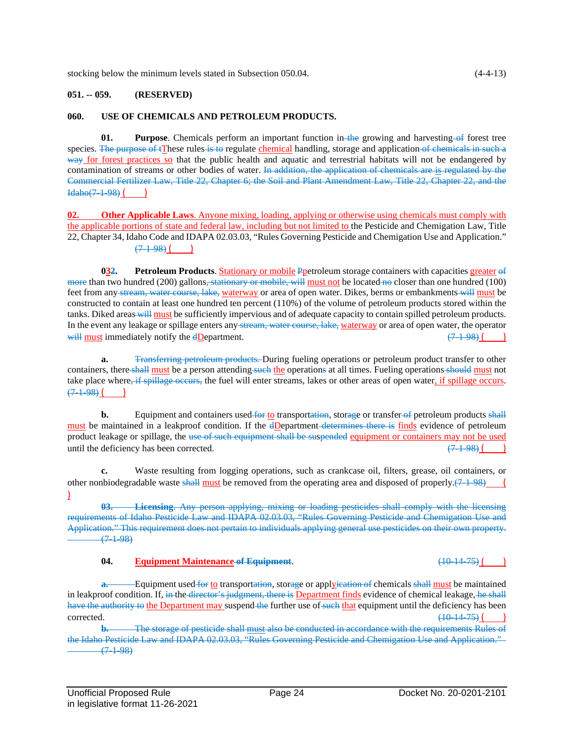stocking below the minimum levels stated in Subsection 050.04. (4-4-13)

### **051. -- 059. (RESERVED)**

#### **060. USE OF CHEMICALS AND PETROLEUM PRODUCTS.**

**01. Purpose**. Chemicals perform an important function in the growing and harvesting of forest tree species. The purpose of tThese rules is to regulate chemical handling, storage and application of chemicals in such a way for forest practices so that the public health and aquatic and terrestrial habitats will not be endangered by contamination of streams or other bodies of water. In addition, the application of chemicals are is regulated by the Commercial Fertilizer Law, Title 22, Chapter 6; the Soil and Plant Amendment Law, Title 22, Chapter 22, and the  $Idaho(7-1-98)$  ( )

**02. Other Applicable Laws**. Anyone mixing, loading, applying or otherwise using chemicals must comply with the applicable portions of state and federal law, including but not limited to the Pesticide and Chemigation Law, Title 22, Chapter 34, Idaho Code and IDAPA 02.03.03, "Rules Governing Pesticide and Chemigation Use and Application."  $(7-1-98)$  ()

**032. Petroleum Products**. Stationary or mobile Ppetroleum storage containers with capacities greater of more than two hundred (200) gallons, stationary or mobile, will must not be located no closer than one hundred (100) feet from any stream, water course, lake, waterway or area of open water. Dikes, berms or embankments will must be constructed to contain at least one hundred ten percent (110%) of the volume of petroleum products stored within the tanks. Diked areas will must be sufficiently impervious and of adequate capacity to contain spilled petroleum products. In the event any leakage or spillage enters any stream, water course, lake, waterway or area of open water, the operator will must immediately notify the dDepartment.  $(7.1-98)$  (

**a.** Transferring petroleum products. During fueling operations or petroleum product transfer to other containers, there shall must be a person attending such the operations at all times. Fueling operations should must not take place where, if spillage occurs, the fuel will enter streams, lakes or other areas of open water, if spillage occurs.  $(7-1.98)$ 

**b.** Equipment and containers used for to transportation, storage or transfer of petroleum products shall must be maintained in a leakproof condition. If the dDepartment determines there is finds evidence of petroleum product leakage or spillage, the use of such equipment shall be suspended equipment or containers may not be used until the deficiency has been corrected.  $(7.1-98)$  (

**c.** Waste resulting from logging operations, such as crankcase oil, filters, grease, oil containers, or other nonbiodegradable waste shall must be removed from the operating area and disposed of properly. $(7-1-98)$  $\mathbf{I}$ 

**03. Licensing**. Any person applying, mixing or loading pesticides shall comply with the licensing requirements of Idaho Pesticide Law and IDAPA 02.03.03, "Rules Governing Pesticide and Chemigation Use and Application." This requirement does not pertain to individuals applying general use pesticides on their own property.  $(7-1-98)$ 

#### **04. Equipment Maintenance of Equipment**. (10-14-75) ( )

**a.** Equipment used for to transportation, storage or applyieation of chemicals shall must be maintained in leakproof condition. If, in the director's judgment, there is Department finds evidence of chemical leakage, he shall have the authority to the Department may suspend the further use of such that equipment until the deficiency has been  $\frac{(10-14-75)}{ }$ 

**b.** The storage of pesticide shall must also be conducted in accordance with the requirements Rules of the Idaho Pesticide Law and IDAPA 02.03.03, "Rules Governing Pesticide and Chemigation Use and Application."  $(7-1-98)$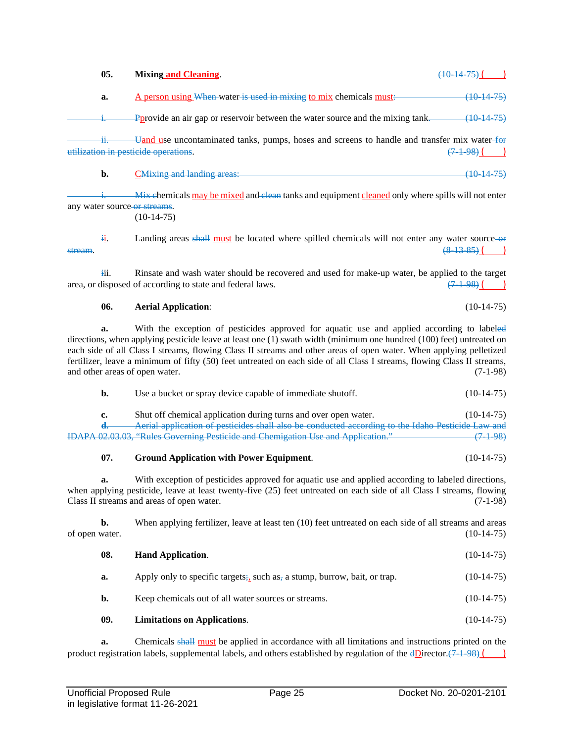**a.** A person using When-water is used in mixing to mix chemicals must: (10-14-75) Pprovide an air gap or reservoir between the water source and the mixing tank.  $\frac{(10-14-75)}{2}$ ii. Uand use uncontaminated tanks, pumps, hoses and screens to handle and transfer mix water-form utilization in pesticide operations.  $(7-1-98)$  ( ) **b.** C<sup>Mixing</sup> and landing areas: (10-14-75) Mix chemicals may be mixed and clean tanks and equipment cleaned only where spills will not enter any water source or streams.  $(10-14-75)$ ii. Landing areas shall must be located where spilled chemicals will not enter any water source-or stream. (8–13–85) <u>(</u> ) iii. Rinsate and wash water should be recovered and used for make-up water, be applied to the target area, or disposed of according to state and federal laws.  $(7.1-98)$  ( ) **06. Aerial Application**: (10-14-75) **a.** With the exception of pesticides approved for aquatic use and applied according to labeled directions, when applying pesticide leave at least one (1) swath width (minimum one hundred (100) feet) untreated on each side of all Class I streams, flowing Class II streams and other areas of open water. When applying pelletized fertilizer, leave a minimum of fifty (50) feet untreated on each side of all Class I streams, flowing Class II streams, and other areas of open water. (7-1-98) **b.** Use a bucket or spray device capable of immediate shutoff. (10-14-75) **c.** Shut off chemical application during turns and over open water. (10-14-75) **d.** Aerial application of pesticides shall also be conducted according to the Idaho Pesticide Law and IDAPA 02.03.03, "Rules Governing Pesticide and Chemigation Use and Application." (7-1-98) **07. Ground Application with Power Equipment**. (10-14-75) **a.** With exception of pesticides approved for aquatic use and applied according to labeled directions, when applying pesticide, leave at least twenty-five (25) feet untreated on each side of all Class I streams, flowing Class II streams and areas of open water. (7-1-98) **b.** When applying fertilizer, leave at least ten (10) feet untreated on each side of all streams and areas of open water. (10-14-75) **08. Hand Application**. (10-14-75)

**05. Mixing and Cleaning**. (10-14-75) ( )

**a.** Apply only to specific targets;, such as, a stump, burrow, bait, or trap.  $(10-14-75)$ **b.** Keep chemicals out of all water sources or streams. (10-14-75)

**09. Limitations on Applications**. (10-14-75)

**a.** Chemicals shall must be applied in accordance with all limitations and instructions printed on the product registration labels, supplemental labels, and others established by regulation of the  $\text{dDirection}$ .(7-1-98) ()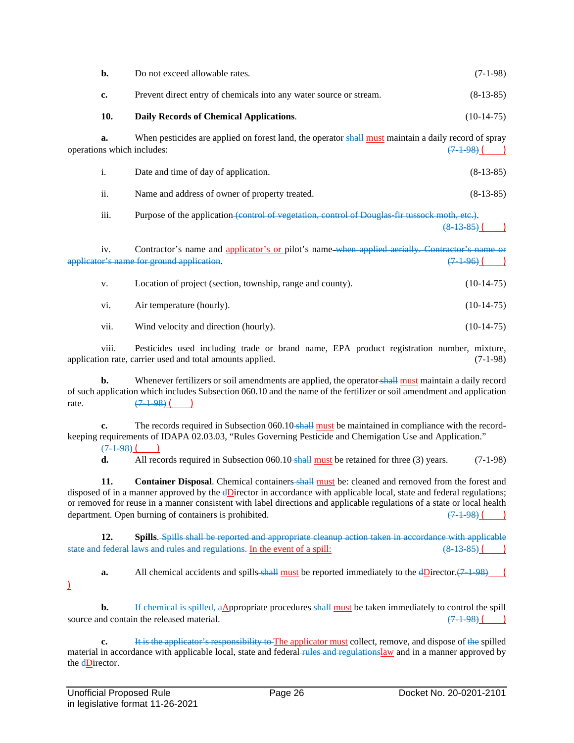| b.                               | Do not exceed allowable rates.                                                                       | $(7-1-98)$   |
|----------------------------------|------------------------------------------------------------------------------------------------------|--------------|
| c.                               | Prevent direct entry of chemicals into any water source or stream.                                   | $(8-13-85)$  |
| 10.                              | Daily Records of Chemical Applications.                                                              | $(10-14-75)$ |
| a.<br>operations which includes: | When pesticides are applied on forest land, the operator shall must maintain a daily record of spray | $(7-1-98)$   |
| i.                               | Date and time of day of application.                                                                 | $(8-13-85)$  |
| ii.                              | Name and address of owner of property treated.                                                       | $(8-13-85)$  |
| iii.                             | Purpose of the application (control of vegetation, control of Douglas fir tussoek moth, etc.).       | (8, 13, 85)  |
| iv.                              | Contractor's name and applicator's or pilot's name-when applied aerially. Contractor's name          |              |

applicator's name for ground application.  $(7\ 1\ 96)$  ( )

| V.   | Location of project (section, township, range and county). | $(10-14-75)$ |
|------|------------------------------------------------------------|--------------|
| V1.  | Air temperature (hourly).                                  | $(10-14-75)$ |
| V11. | Wind velocity and direction (hourly).                      | $(10-14-75)$ |

viii. Pesticides used including trade or brand name, EPA product registration number, mixture, application rate, carrier used and total amounts applied. (7-1-98)

**b.** Whenever fertilizers or soil amendments are applied, the operator-shall must maintain a daily record of such application which includes Subsection 060.10 and the name of the fertilizer or soil amendment and application rate.  $(7-1-98)$  (

**c.** The records required in Subsection 060.10 shall must be maintained in compliance with the recordkeeping requirements of IDAPA 02.03.03, "Rules Governing Pesticide and Chemigation Use and Application."  $(7-1.98)$ 

**d.** All records required in Subsection 060.10-shall must be retained for three (3) years. (7-1-98)

**11. Container Disposal**. Chemical containers shall must be: cleaned and removed from the forest and disposed of in a manner approved by the dDirector in accordance with applicable local, state and federal regulations; or removed for reuse in a manner consistent with label directions and applicable regulations of a state or local health department. Open burning of containers is prohibited.  $(7.1-98)$  (

**12. Spills**. Spills shall be reported and appropriate cleanup action taken in accordance with applicable state and federal laws and rules and regulations. In the event of a spill:  $(8-13-85)$  ()

**a.** All chemical accidents and spills shall must be reported immediately to the  $\frac{dD}{dx}$  (7.1.98) (  $\mathcal{L}$ 

**b.** If chemical is spilled, aAppropriate procedures shall must be taken immediately to control the spill source and contain the released material.  $(7.1-98)$  ()

**c.** It is the applicator's responsibility to The applicator must collect, remove, and dispose of the spilled material in accordance with applicable local, state and federal rules and regulationslaw and in a manner approved by the **dD**irector.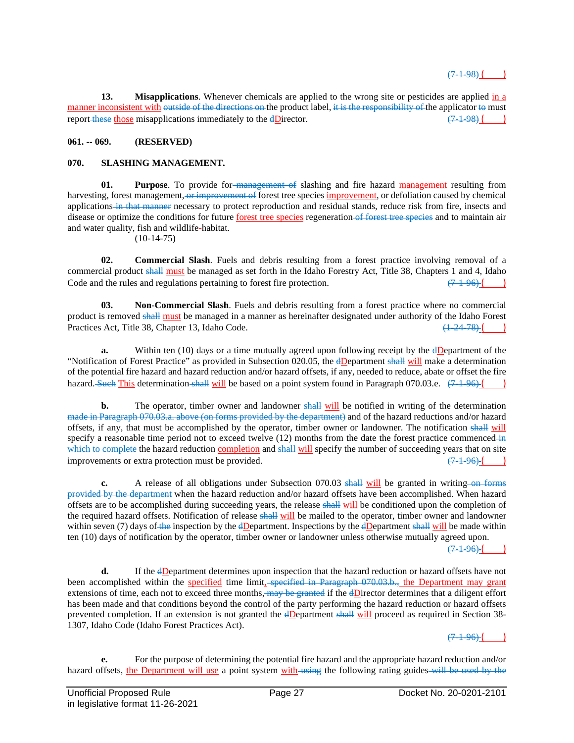**13. Misapplications**. Whenever chemicals are applied to the wrong site or pesticides are applied in a manner inconsistent with outside of the directions on the product label, it is the responsibility of the applicator to must report these those misapplications immediately to the dDirector.  $(7-1-98)$  ()

# **061. -- 069. (RESERVED)**

## **070. SLASHING MANAGEMENT.**

**01. Purpose**. To provide for management of slashing and fire hazard management resulting from harvesting, forest management, or improvement of forest tree species improvement, or defoliation caused by chemical applications in that manner necessary to protect reproduction and residual stands, reduce risk from fire, insects and disease or optimize the conditions for future forest tree species regeneration of forest tree species and to maintain air and water quality, fish and wildlife-habitat.

 $(10-14-75)$ 

**02. Commercial Slash**. Fuels and debris resulting from a forest practice involving removal of a commercial product shall must be managed as set forth in the Idaho Forestry Act, Title 38, Chapters 1 and 4, Idaho Code and the rules and regulations pertaining to forest fire protection.  $(7.1-96)$  (

**03. Non-Commercial Slash**. Fuels and debris resulting from a forest practice where no commercial product is removed shall must be managed in a manner as hereinafter designated under authority of the Idaho Forest Practices Act, Title 38, Chapter 13, Idaho Code. (1-24-78) ( ) (1-24-78) (

**a.** Within ten (10) days or a time mutually agreed upon following receipt by the dDepartment of the "Notification of Forest Practice" as provided in Subsection 020.05, the dDepartment shall will make a determination of the potential fire hazard and hazard reduction and/or hazard offsets, if any, needed to reduce, abate or offset the fire hazard. Such This determination shall will be based on a point system found in Paragraph 070.03.e.  $(7.1-96)$  ()

**b.** The operator, timber owner and landowner shall will be notified in writing of the determination made in Paragraph 070.03.a. above (on forms provided by the department) and of the hazard reductions and/or hazard offsets, if any, that must be accomplished by the operator, timber owner or landowner. The notification shall will specify a reasonable time period not to exceed twelve (12) months from the date the forest practice commenced in which to complete the hazard reduction completion and shall will specify the number of succeeding years that on site improvements or extra protection must be provided.  $(7\ 1\ 96)$ 

**c.** A release of all obligations under Subsection 070.03 shall will be granted in writing on forms provided by the department when the hazard reduction and/or hazard offsets have been accomplished. When hazard offsets are to be accomplished during succeeding years, the release shall will be conditioned upon the completion of the required hazard offsets. Notification of release shall will be mailed to the operator, timber owner and landowner within seven (7) days of the inspection by the  $\frac{dD}{dp}$  epartment. Inspections by the  $\frac{dD}{dp}$  will be made within ten (10) days of notification by the operator, timber owner or landowner unless otherwise mutually agreed upon.

 $(7-1.96)$  (

**d.** If the dDepartment determines upon inspection that the hazard reduction or hazard offsets have not been accomplished within the specified time limit, specified in Paragraph 070.03.b., the Department may grant extensions of time, each not to exceed three months,  $\frac{may}{head}$  if the  $\frac{dD}{d}$  if the determines that a diligent effort has been made and that conditions beyond the control of the party performing the hazard reduction or hazard offsets prevented completion. If an extension is not granted the dDepartment shall will proceed as required in Section 38- 1307, Idaho Code (Idaho Forest Practices Act).

 $(7 - 1 - 96)$ 

**e.** For the purpose of determining the potential fire hazard and the appropriate hazard reduction and/or hazard offsets, the Department will use a point system with using the following rating guides will be used by the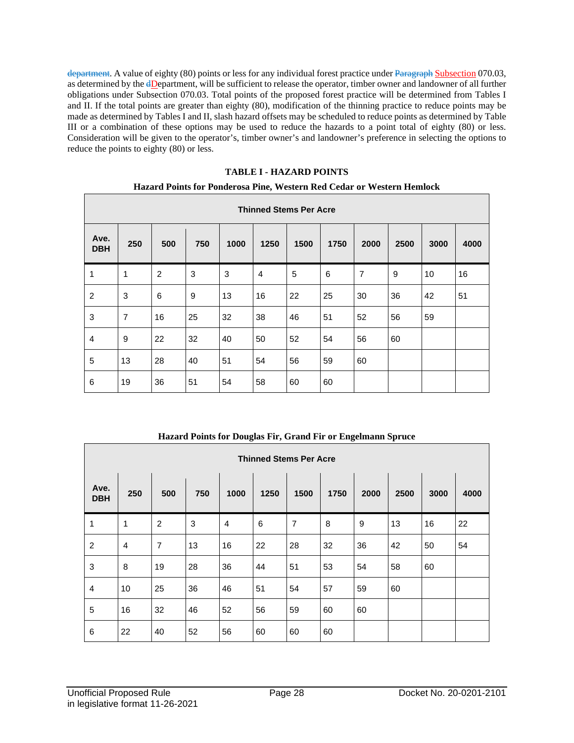department. A value of eighty (80) points or less for any individual forest practice under Paragraph Subsection 070.03, as determined by the dDepartment, will be sufficient to release the operator, timber owner and landowner of all further obligations under Subsection 070.03. Total points of the proposed forest practice will be determined from Tables I and II. If the total points are greater than eighty (80), modification of the thinning practice to reduce points may be made as determined by Tables I and II, slash hazard offsets may be scheduled to reduce points as determined by Table III or a combination of these options may be used to reduce the hazards to a point total of eighty (80) or less. Consideration will be given to the operator's, timber owner's and landowner's preference in selecting the options to reduce the points to eighty (80) or less.

## **TABLE I - HAZARD POINTS**

## **Hazard Points for Ponderosa Pine, Western Red Cedar or Western Hemlock**

|                    | <b>Thinned Stems Per Acre</b> |     |     |      |                |      |      |                |      |      |      |
|--------------------|-------------------------------|-----|-----|------|----------------|------|------|----------------|------|------|------|
| Ave.<br><b>DBH</b> | 250                           | 500 | 750 | 1000 | 1250           | 1500 | 1750 | 2000           | 2500 | 3000 | 4000 |
| 1                  | 1                             | 2   | 3   | 3    | $\overline{4}$ | 5    | 6    | $\overline{7}$ | 9    | 10   | 16   |
| $\overline{2}$     | 3                             | 6   | 9   | 13   | 16             | 22   | 25   | 30             | 36   | 42   | 51   |
| 3                  | $\overline{7}$                | 16  | 25  | 32   | 38             | 46   | 51   | 52             | 56   | 59   |      |
| $\overline{4}$     | 9                             | 22  | 32  | 40   | 50             | 52   | 54   | 56             | 60   |      |      |
| 5                  | 13                            | 28  | 40  | 51   | 54             | 56   | 59   | 60             |      |      |      |
| 6                  | 19                            | 36  | 51  | 54   | 58             | 60   | 60   |                |      |      |      |

# **Hazard Points for Douglas Fir, Grand Fir or Engelmann Spruce**

|                    | <b>Thinned Stems Per Acre</b> |                |     |                |      |                |      |      |      |      |      |
|--------------------|-------------------------------|----------------|-----|----------------|------|----------------|------|------|------|------|------|
| Ave.<br><b>DBH</b> | 250                           | 500            | 750 | 1000           | 1250 | 1500           | 1750 | 2000 | 2500 | 3000 | 4000 |
| 1                  | 1                             | 2              | 3   | $\overline{4}$ | 6    | $\overline{7}$ | 8    | 9    | 13   | 16   | 22   |
| $\overline{2}$     | $\overline{4}$                | $\overline{7}$ | 13  | 16             | 22   | 28             | 32   | 36   | 42   | 50   | 54   |
| 3                  | 8                             | 19             | 28  | 36             | 44   | 51             | 53   | 54   | 58   | 60   |      |
| $\overline{4}$     | 10                            | 25             | 36  | 46             | 51   | 54             | 57   | 59   | 60   |      |      |
| 5                  | 16                            | 32             | 46  | 52             | 56   | 59             | 60   | 60   |      |      |      |
| 6                  | 22                            | 40             | 52  | 56             | 60   | 60             | 60   |      |      |      |      |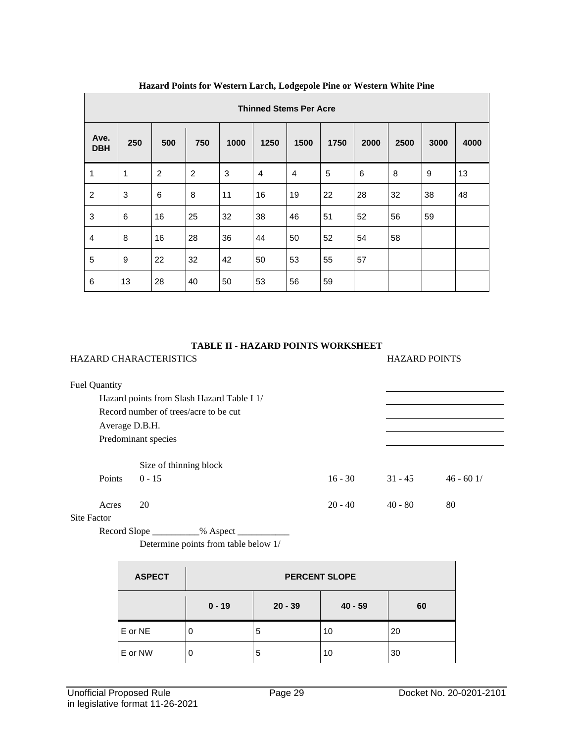|                    | <b>Thinned Stems Per Acre</b> |     |                |      |                |                |      |      |      |      |      |
|--------------------|-------------------------------|-----|----------------|------|----------------|----------------|------|------|------|------|------|
| Ave.<br><b>DBH</b> | 250                           | 500 | 750            | 1000 | 1250           | 1500           | 1750 | 2000 | 2500 | 3000 | 4000 |
| 1                  | 1                             | 2   | $\overline{2}$ | 3    | $\overline{4}$ | $\overline{4}$ | 5    | 6    | 8    | 9    | 13   |
| $\overline{2}$     | 3                             | 6   | 8              | 11   | 16             | 19             | 22   | 28   | 32   | 38   | 48   |
| 3                  | 6                             | 16  | 25             | 32   | 38             | 46             | 51   | 52   | 56   | 59   |      |
| $\overline{4}$     | 8                             | 16  | 28             | 36   | 44             | 50             | 52   | 54   | 58   |      |      |
| 5                  | 9                             | 22  | 32             | 42   | 50             | 53             | 55   | 57   |      |      |      |
| 6                  | 13                            | 28  | 40             | 50   | 53             | 56             | 59   |      |      |      |      |

# **Hazard Points for Western Larch, Lodgepole Pine or Western White Pine**

## **TABLE II - HAZARD POINTS WORKSHEET**

HAZARD CHARACTERISTICS HAZARD POINTS

| <b>Fuel Quantity</b> |                                            |           |           |            |
|----------------------|--------------------------------------------|-----------|-----------|------------|
|                      | Hazard points from Slash Hazard Table I 1/ |           |           |            |
|                      | Record number of trees/acre to be cut      |           |           |            |
| Average D.B.H.       |                                            |           |           |            |
|                      | Predominant species                        |           |           |            |
|                      |                                            |           |           |            |
|                      | Size of thinning block                     |           |           |            |
| <b>Points</b>        | $0 - 15$                                   | $16 - 30$ | $31 - 45$ | $46 - 601$ |
|                      |                                            |           |           |            |
| Acres                | 20                                         | $20 - 40$ | $40 - 80$ | 80         |
|                      |                                            |           |           |            |

# Site Factor

Record Slope \_\_\_\_\_\_\_\_\_\_% Aspect \_\_\_\_\_\_\_\_\_\_\_

Determine points from table below 1/

| <b>ASPECT</b> | <b>PERCENT SLOPE</b> |           |           |    |  |  |  |  |
|---------------|----------------------|-----------|-----------|----|--|--|--|--|
|               | $0 - 19$             | $20 - 39$ | $40 - 59$ | 60 |  |  |  |  |
| E or NE       | O                    | 5         | 10        | 20 |  |  |  |  |
| E or NW       | 0                    | 5         | 10        | 30 |  |  |  |  |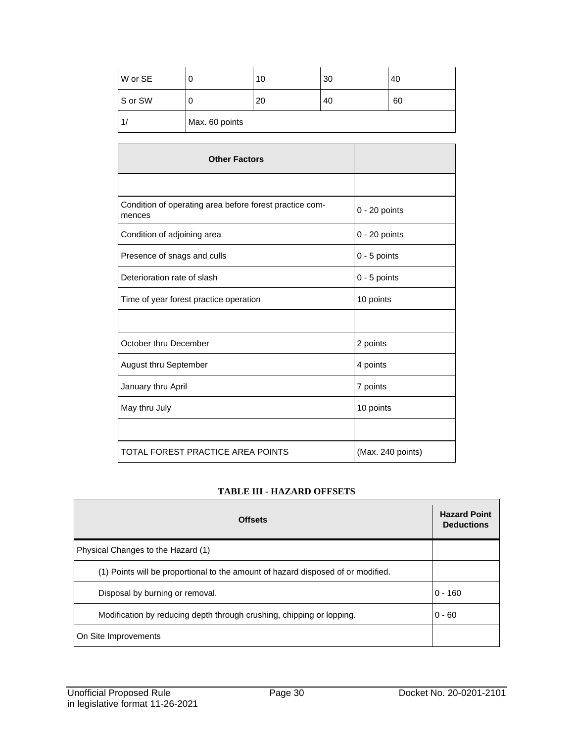| W or SE | ι.             | 10 | 30 | 40 |
|---------|----------------|----|----|----|
| S or SW | u              | 20 | 40 | 60 |
|         | Max. 60 points |    |    |    |

| <b>Other Factors</b>                                              |                   |
|-------------------------------------------------------------------|-------------------|
|                                                                   |                   |
| Condition of operating area before forest practice com-<br>mences | $0 - 20$ points   |
| Condition of adjoining area                                       | $0 - 20$ points   |
| Presence of snags and culls                                       | $0 - 5$ points    |
| Deterioration rate of slash                                       | $0 - 5$ points    |
| Time of year forest practice operation                            | 10 points         |
|                                                                   |                   |
| October thru December                                             | 2 points          |
| <b>August thru September</b>                                      | 4 points          |
| January thru April                                                | 7 points          |
| May thru July                                                     | 10 points         |
|                                                                   |                   |
| TOTAL FOREST PRACTICE AREA POINTS                                 | (Max. 240 points) |

# **TABLE III - HAZARD OFFSETS**

| <b>Offsets</b>                                                                   | <b>Hazard Point</b><br><b>Deductions</b> |
|----------------------------------------------------------------------------------|------------------------------------------|
| Physical Changes to the Hazard (1)                                               |                                          |
| (1) Points will be proportional to the amount of hazard disposed of or modified. |                                          |
| Disposal by burning or removal.                                                  | $0 - 160$                                |
| Modification by reducing depth through crushing, chipping or lopping.            | $0 - 60$                                 |
| On Site Improvements                                                             |                                          |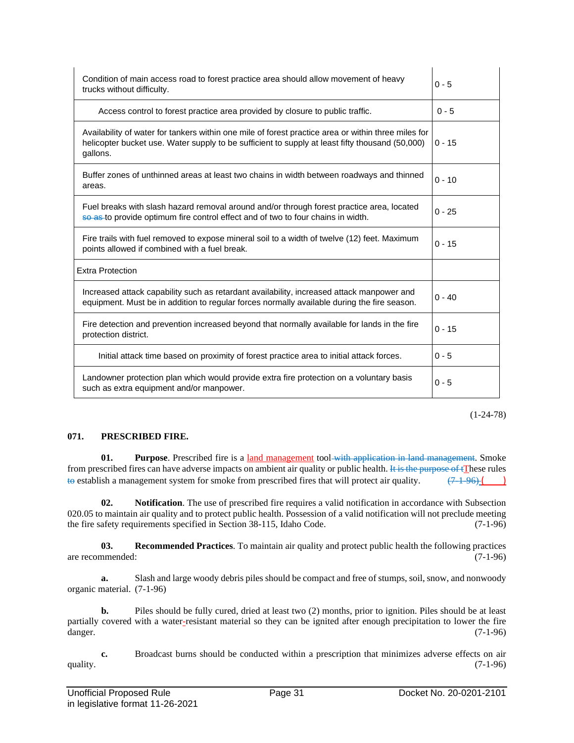| Condition of main access road to forest practice area should allow movement of heavy<br>trucks without difficulty.                                                                                                 | $0 - 5$  |
|--------------------------------------------------------------------------------------------------------------------------------------------------------------------------------------------------------------------|----------|
| Access control to forest practice area provided by closure to public traffic.                                                                                                                                      | $0 - 5$  |
| Availability of water for tankers within one mile of forest practice area or within three miles for<br>helicopter bucket use. Water supply to be sufficient to supply at least fifty thousand (50,000)<br>gallons. | $0 - 15$ |
| Buffer zones of unthinned areas at least two chains in width between roadways and thinned<br>areas.                                                                                                                | $0 - 10$ |
| Fuel breaks with slash hazard removal around and/or through forest practice area, located<br>so as to provide optimum fire control effect and of two to four chains in width.                                      | $0 - 25$ |
| Fire trails with fuel removed to expose mineral soil to a width of twelve (12) feet. Maximum<br>points allowed if combined with a fuel break.                                                                      | $0 - 15$ |
| <b>Extra Protection</b>                                                                                                                                                                                            |          |
| Increased attack capability such as retardant availability, increased attack manpower and<br>equipment. Must be in addition to regular forces normally available during the fire season.                           | $0 - 40$ |
| Fire detection and prevention increased beyond that normally available for lands in the fire<br>protection district.                                                                                               | $0 - 15$ |
| Initial attack time based on proximity of forest practice area to initial attack forces.                                                                                                                           | $0 - 5$  |
| Landowner protection plan which would provide extra fire protection on a voluntary basis<br>such as extra equipment and/or manpower.                                                                               | $0 - 5$  |

(1-24-78)

#### **071. PRESCRIBED FIRE.**

**01. Purpose**. Prescribed fire is a land management tool-with application in land management. Smoke from prescribed fires can have adverse impacts on ambient air quality or public health. It is the purpose of  $\sharp$ These rules to establish a management system for smoke from prescribed fires that will protect air quality.  $(7.1-96)$ 

**02. Notification**. The use of prescribed fire requires a valid notification in accordance with Subsection 020.05 to maintain air quality and to protect public health. Possession of a valid notification will not preclude meeting the fire safety requirements specified in Section 38-115, Idaho Code. (7-1-96)

**03. Recommended Practices**. To maintain air quality and protect public health the following practices are recommended: (7-1-96)

**a.** Slash and large woody debris piles should be compact and free of stumps, soil, snow, and nonwoody organic material. (7-1-96)

**b.** Piles should be fully cured, dried at least two (2) months, prior to ignition. Piles should be at least partially covered with a water-resistant material so they can be ignited after enough precipitation to lower the fire danger. (7-1-96)

**c.** Broadcast burns should be conducted within a prescription that minimizes adverse effects on air quality.  $(7-1-96)$